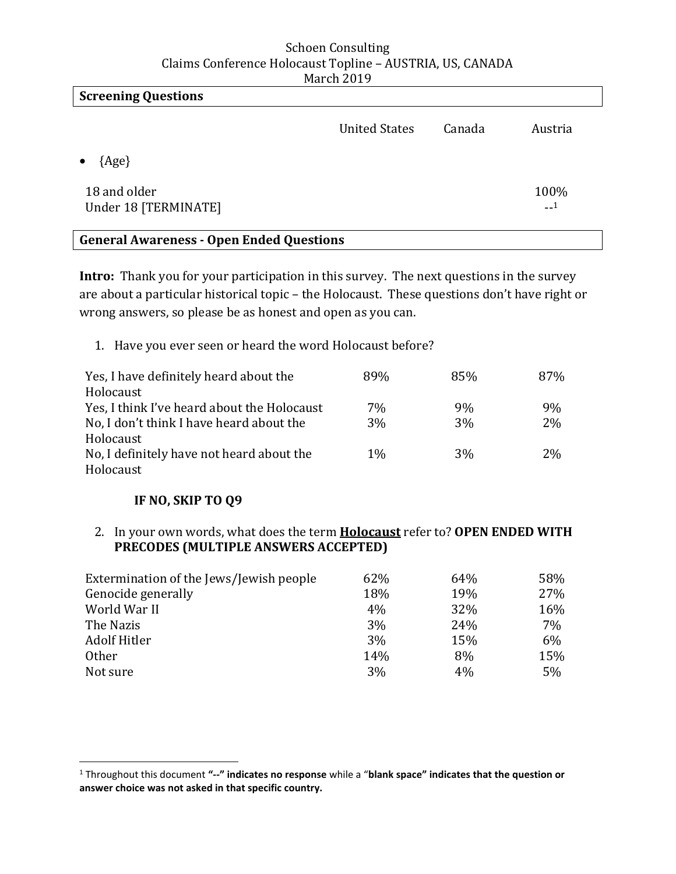| <b>Screening Questions</b>           |                      |        |              |
|--------------------------------------|----------------------|--------|--------------|
|                                      | <b>United States</b> | Canada | Austria      |
| $\{Age\}$                            |                      |        |              |
| 18 and older<br>Under 18 [TERMINATE] |                      |        | 100%<br>$-1$ |

# **General Awareness - Open Ended Questions**

**Intro:** Thank you for your participation in this survey. The next questions in the survey are about a particular historical topic – the Holocaust. These questions don't have right or wrong answers, so please be as honest and open as you can.

1. Have you ever seen or heard the word Holocaust before?

| Yes, I have definitely heard about the      | 89%   | 85% | 87%   |
|---------------------------------------------|-------|-----|-------|
| Holocaust                                   |       |     |       |
| Yes, I think I've heard about the Holocaust | 7%    | 9%  | 9%    |
| No, I don't think I have heard about the    | 3%    | 3%  | 2%    |
| Holocaust                                   |       |     |       |
| No, I definitely have not heard about the   | $1\%$ | 3%  | $2\%$ |
| Holocaust                                   |       |     |       |

## **IF NO, SKIP TO Q9**

 $\overline{\phantom{a}}$ 

2. In your own words, what does the term **Holocaust** refer to? **OPEN ENDED WITH PRECODES (MULTIPLE ANSWERS ACCEPTED)** 

| Extermination of the Jews/Jewish people | 62% | 64% | 58% |
|-----------------------------------------|-----|-----|-----|
| Genocide generally                      | 18% | 19% | 27% |
| World War II                            | 4%  | 32% | 16% |
| The Nazis                               | 3%  | 24% | 7%  |
| Adolf Hitler                            | 3%  | 15% | 6%  |
| <b>Other</b>                            | 14% | 8%  | 15% |
| Not sure                                | 3%  | 4%  | 5%  |

<sup>1</sup> Throughout this document **"--" indicates no response** while a "**blank space" indicates that the question or answer choice was not asked in that specific country.**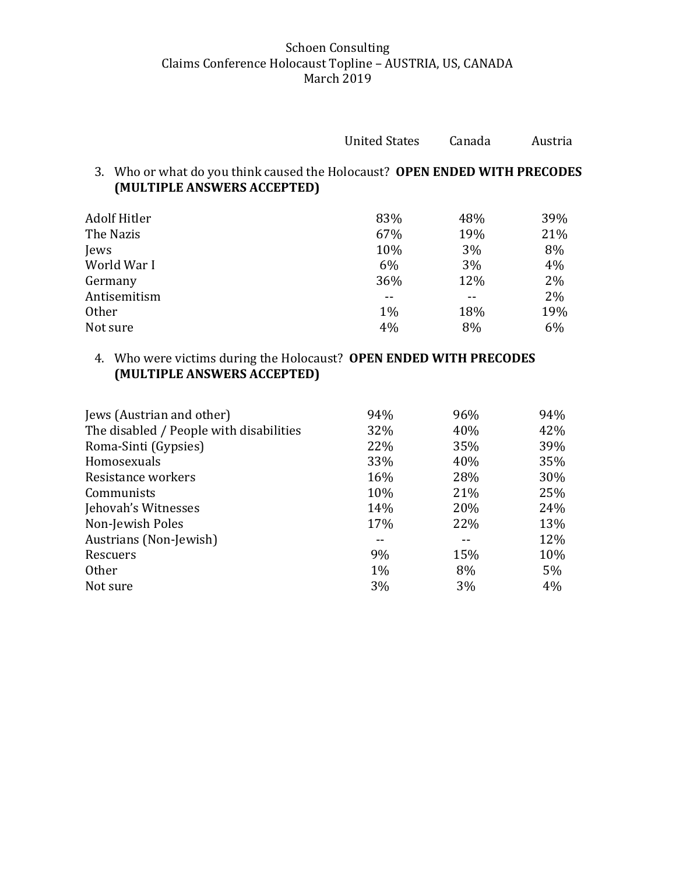| <b>United States</b> | Canada | Austria |
|----------------------|--------|---------|
|                      |        |         |

3. Who or what do you think caused the Holocaust? **OPEN ENDED WITH PRECODES (MULTIPLE ANSWERS ACCEPTED)** 

| <b>Adolf Hitler</b> | 83%   | 48% | 39% |
|---------------------|-------|-----|-----|
| The Nazis           | 67%   | 19% | 21% |
| Jews                | 10%   | 3%  | 8%  |
| World War I         | 6%    | 3%  | 4%  |
| Germany             | 36%   | 12% | 2%  |
| Antisemitism        | $- -$ |     | 2%  |
| <b>Other</b>        | $1\%$ | 18% | 19% |
| Not sure            | 4%    | 8%  | 6%  |

# 4. Who were victims during the Holocaust? **OPEN ENDED WITH PRECODES (MULTIPLE ANSWERS ACCEPTED)**

| 94%   | 96% | 94%   |
|-------|-----|-------|
| 32%   | 40% | 42%   |
| 22%   | 35% | 39%   |
| 33%   | 40% | 35%   |
| 16%   | 28% | 30%   |
| 10%   | 21% | 25%   |
| 14%   | 20% | 24%   |
| 17%   | 22% | 13%   |
| --    |     | 12%   |
| 9%    | 15% | 10%   |
| $1\%$ | 8%  | $5\%$ |
| 3%    | 3%  | 4%    |
|       |     |       |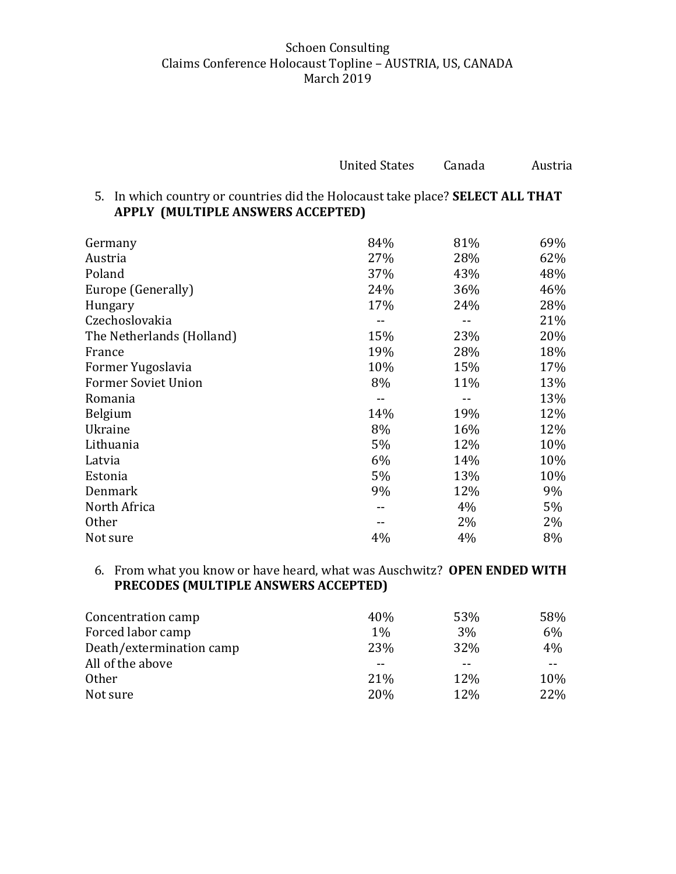| <b>United States</b> | Canada | Austria |
|----------------------|--------|---------|
|                      |        |         |

## 5. In which country or countries did the Holocaust take place? **SELECT ALL THAT APPLY (MULTIPLE ANSWERS ACCEPTED)**

| Germany                    | 84% | 81% | 69% |
|----------------------------|-----|-----|-----|
| Austria                    | 27% | 28% | 62% |
| Poland                     | 37% | 43% | 48% |
| Europe (Generally)         | 24% | 36% | 46% |
| Hungary                    | 17% | 24% | 28% |
| Czechoslovakia             |     |     | 21% |
| The Netherlands (Holland)  | 15% | 23% | 20% |
| France                     | 19% | 28% | 18% |
| Former Yugoslavia          | 10% | 15% | 17% |
| <b>Former Soviet Union</b> | 8%  | 11% | 13% |
| Romania                    |     |     | 13% |
| Belgium                    | 14% | 19% | 12% |
| Ukraine                    | 8%  | 16% | 12% |
| Lithuania                  | 5%  | 12% | 10% |
| Latvia                     | 6%  | 14% | 10% |
| Estonia                    | 5%  | 13% | 10% |
| Denmark                    | 9%  | 12% | 9%  |
| North Africa               |     | 4%  | 5%  |
| <b>Other</b>               |     | 2%  | 2%  |
| Not sure                   | 4%  | 4%  | 8%  |

## 6. From what you know or have heard, what was Auschwitz? **OPEN ENDED WITH PRECODES (MULTIPLE ANSWERS ACCEPTED)**

| Concentration camp       | 40%        | 53% | 58% |
|--------------------------|------------|-----|-----|
| Forced labor camp        | $1\%$      | 3%  | 6%  |
| Death/extermination camp | 23%        | 32% | 4%  |
| All of the above         |            |     | --  |
| <b>Other</b>             | 21\%       | 12% | 10% |
| Not sure                 | <b>20%</b> | 12% | 22% |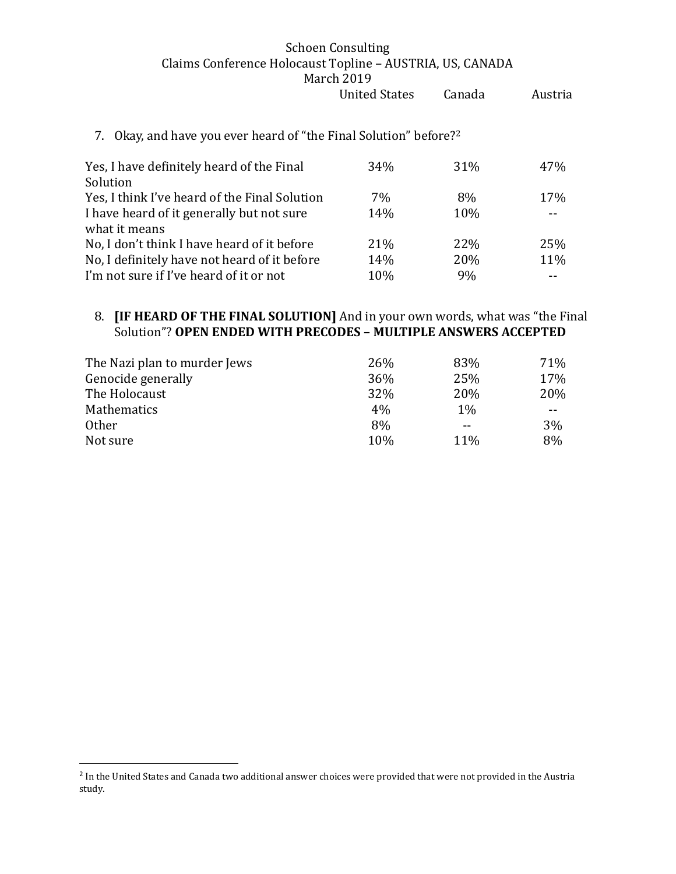| 7. Okay, and have you ever heard of "the Final Solution" before? <sup>2</sup> |  |  |
|-------------------------------------------------------------------------------|--|--|
|                                                                               |  |  |

| Yes, I have definitely heard of the Final     | 34% | 31% | 47% |
|-----------------------------------------------|-----|-----|-----|
| Solution                                      |     |     |     |
| Yes, I think I've heard of the Final Solution | 7%  | 8%  | 17% |
| I have heard of it generally but not sure     | 14% | 10% |     |
| what it means                                 |     |     |     |
| No, I don't think I have heard of it before   | 21% | 22% | 25% |
| No, I definitely have not heard of it before  | 14% | 20% | 11% |
| I'm not sure if I've heard of it or not       | 10% | 9%  |     |

#### 8. **[IF HEARD OF THE FINAL SOLUTION]** And in your own words, what was "the Final Solution"? **OPEN ENDED WITH PRECODES – MULTIPLE ANSWERS ACCEPTED**

| The Nazi plan to murder Jews | 26% | 83% | 71% |
|------------------------------|-----|-----|-----|
| Genocide generally           | 36% | 25% | 17% |
| The Holocaust                | 32% | 20% | 20% |
| Mathematics                  | 4%  | 1%  | --  |
| <b>Other</b>                 | 8%  |     | 3%  |
| Not sure                     | 10% | 11% | 8%  |

 $\overline{\phantom{a}}$ 

<sup>&</sup>lt;sup>2</sup> In the United States and Canada two additional answer choices were provided that were not provided in the Austria study.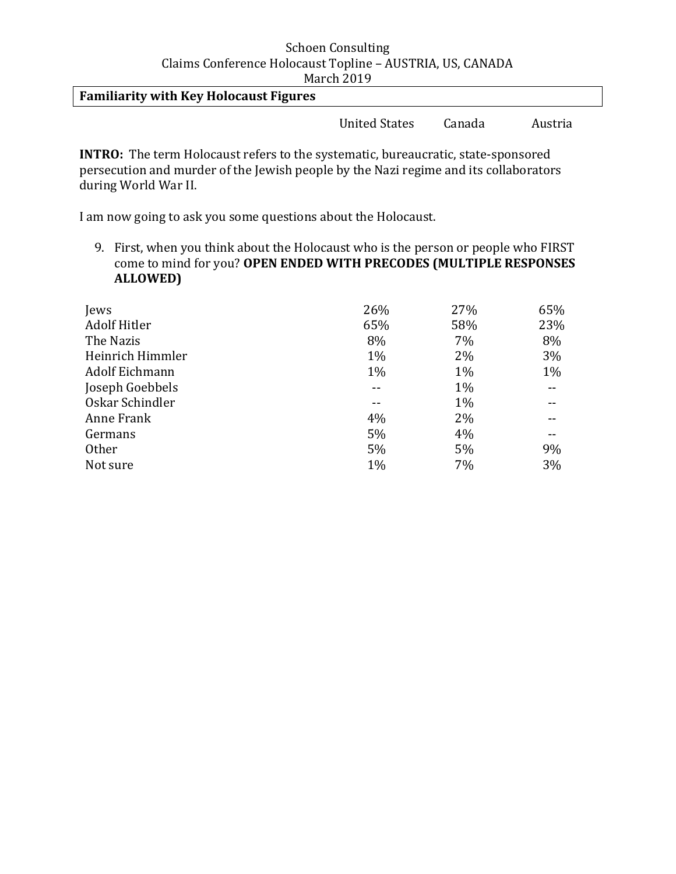**Familiarity with Key Holocaust Figures** 

United States Canada Austria

**INTRO:** The term Holocaust refers to the systematic, bureaucratic, state-sponsored persecution and murder of the Jewish people by the Nazi regime and its collaborators during World War II.

I am now going to ask you some questions about the Holocaust.

9. First, when you think about the Holocaust who is the person or people who FIRST come to mind for you? **OPEN ENDED WITH PRECODES (MULTIPLE RESPONSES ALLOWED)**

| Jews                | 26%   | 27%   | 65%   |
|---------------------|-------|-------|-------|
| <b>Adolf Hitler</b> | 65%   | 58%   | 23%   |
| The Nazis           | 8%    | 7%    | 8%    |
| Heinrich Himmler    | 1%    | 2%    | 3%    |
| Adolf Eichmann      | $1\%$ | $1\%$ | $1\%$ |
| Joseph Goebbels     |       | $1\%$ |       |
| Oskar Schindler     | --    | 1%    |       |
| Anne Frank          | 4%    | 2%    |       |
| Germans             | 5%    | 4%    |       |
| Other               | 5%    | 5%    | 9%    |
| Not sure            | 1%    | 7%    | 3%    |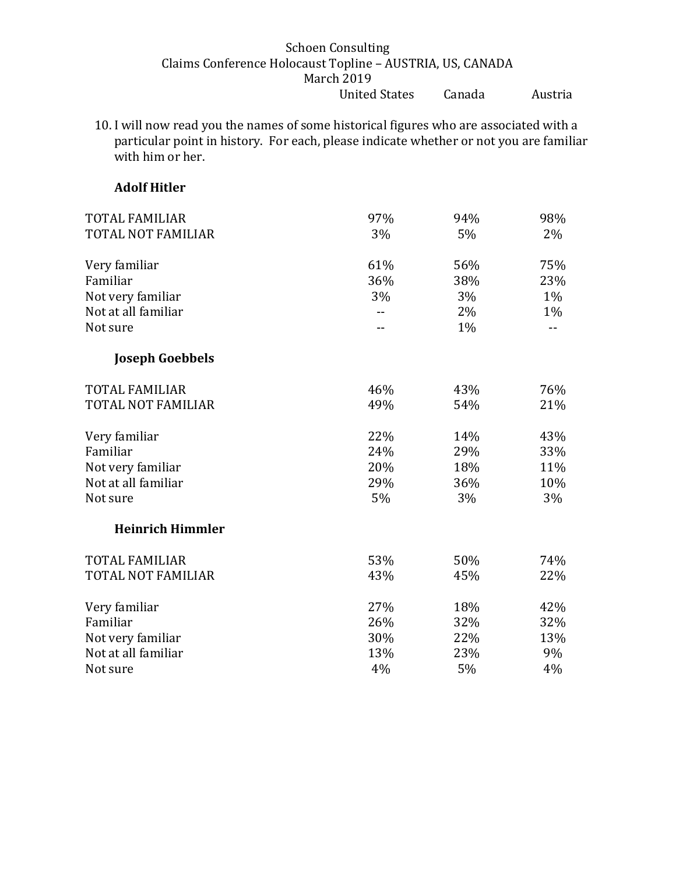10. I will now read you the names of some historical figures who are associated with a particular point in history. For each, please indicate whether or not you are familiar with him or her.

# **Adolf Hitler**

| <b>TOTAL FAMILIAR</b>     | 97% | 94% | 98%   |
|---------------------------|-----|-----|-------|
| <b>TOTAL NOT FAMILIAR</b> | 3%  | 5%  | $2\%$ |
| Very familiar             | 61% | 56% | 75%   |
| Familiar                  | 36% | 38% | 23%   |
| Not very familiar         | 3%  | 3%  | 1%    |
| Not at all familiar       |     | 2%  | 1%    |
| Not sure                  |     | 1%  |       |
| <b>Joseph Goebbels</b>    |     |     |       |
| <b>TOTAL FAMILIAR</b>     | 46% | 43% | 76%   |
| TOTAL NOT FAMILIAR        | 49% | 54% | 21%   |
| Very familiar             | 22% | 14% | 43%   |
| Familiar                  | 24% | 29% | 33%   |
| Not very familiar         | 20% | 18% | 11%   |
| Not at all familiar       | 29% | 36% | 10%   |
| Not sure                  | 5%  | 3%  | 3%    |
| <b>Heinrich Himmler</b>   |     |     |       |
| <b>TOTAL FAMILIAR</b>     | 53% | 50% | 74%   |
| <b>TOTAL NOT FAMILIAR</b> | 43% | 45% | 22%   |
| Very familiar             | 27% | 18% | 42%   |
| Familiar                  | 26% | 32% | 32%   |
| Not very familiar         | 30% | 22% | 13%   |
| Not at all familiar       | 13% | 23% | 9%    |
| Not sure                  | 4%  | 5%  | 4%    |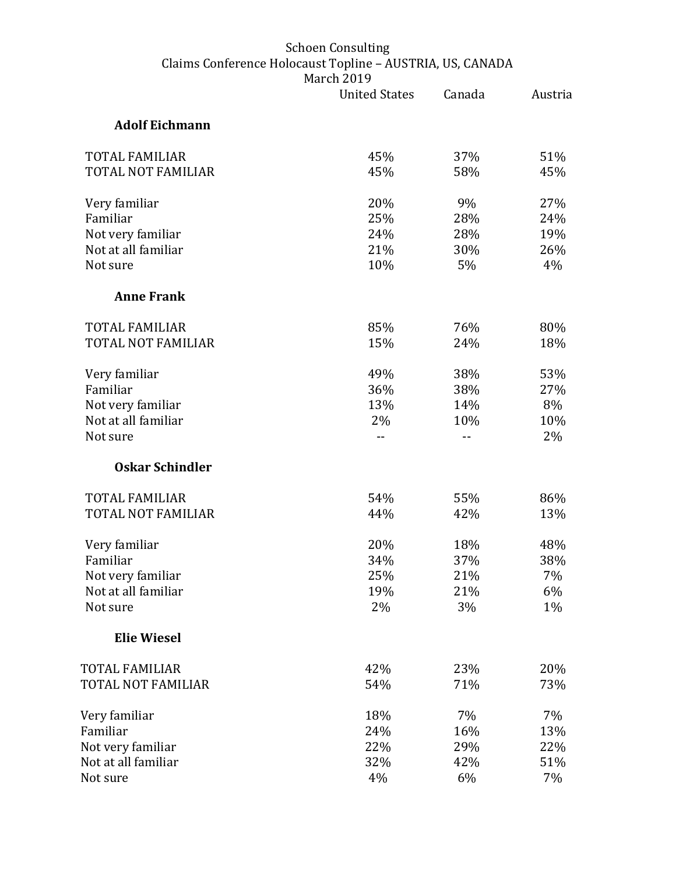|                           | <b>United States</b> | Canada | Austria |
|---------------------------|----------------------|--------|---------|
| <b>Adolf Eichmann</b>     |                      |        |         |
| <b>TOTAL FAMILIAR</b>     | 45%                  | 37%    | 51%     |
| <b>TOTAL NOT FAMILIAR</b> | 45%                  | 58%    | 45%     |
| Very familiar             | 20%                  | 9%     | 27%     |
| Familiar                  | 25%                  | 28%    | 24%     |
| Not very familiar         | 24%                  | 28%    | 19%     |
| Not at all familiar       | 21%                  | 30%    | 26%     |
| Not sure                  | 10%                  | 5%     | 4%      |
| <b>Anne Frank</b>         |                      |        |         |
| <b>TOTAL FAMILIAR</b>     | 85%                  | 76%    | 80%     |
| <b>TOTAL NOT FAMILIAR</b> | 15%                  | 24%    | 18%     |
| Very familiar             | 49%                  | 38%    | 53%     |
| Familiar                  | 36%                  | 38%    | 27%     |
| Not very familiar         | 13%                  | 14%    | 8%      |
| Not at all familiar       | 2%                   | 10%    | 10%     |
| Not sure                  |                      |        | 2%      |
| <b>Oskar Schindler</b>    |                      |        |         |
| <b>TOTAL FAMILIAR</b>     | 54%                  | 55%    | 86%     |
| TOTAL NOT FAMILIAR        | 44%                  | 42%    | 13%     |
| Very familiar             | 20%                  | 18%    | 48%     |
| Familiar                  | 34%                  | 37%    | 38%     |
| Not very familiar         | 25%                  | 21%    | 7%      |
| Not at all familiar       | 19%                  | 21%    | 6%      |
| Not sure                  | 2%                   | 3%     | 1%      |
| <b>Elie Wiesel</b>        |                      |        |         |
| TOTAL FAMILIAR            | 42%                  | 23%    | 20%     |
| TOTAL NOT FAMILIAR        | 54%                  | 71%    | 73%     |
| Very familiar             | 18%                  | 7%     | 7%      |
| Familiar                  | 24%                  | 16%    | 13%     |
| Not very familiar         | 22%                  | 29%    | 22%     |
| Not at all familiar       | 32%                  | 42%    | 51%     |
| Not sure                  | 4%                   | 6%     | 7%      |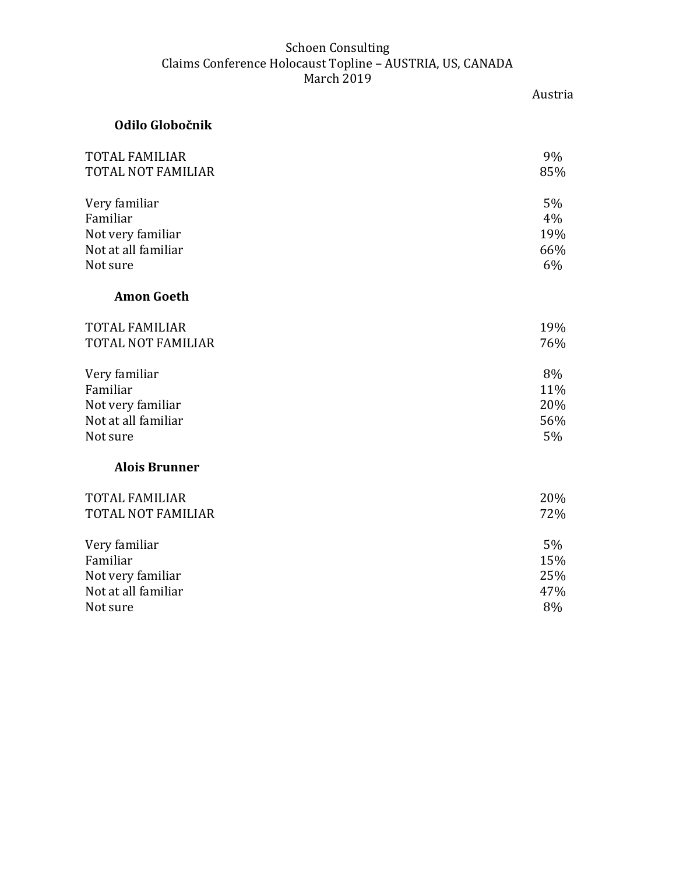|                           | Austria |
|---------------------------|---------|
| Odilo Globočnik           |         |
| <b>TOTAL FAMILIAR</b>     | 9%      |
| <b>TOTAL NOT FAMILIAR</b> | 85%     |
| Very familiar             | 5%      |
| Familiar                  | 4%      |
| Not very familiar         | 19%     |
| Not at all familiar       | 66%     |
| Not sure                  | 6%      |
| <b>Amon Goeth</b>         |         |
| <b>TOTAL FAMILIAR</b>     | 19%     |
| <b>TOTAL NOT FAMILIAR</b> | 76%     |
| Very familiar             | 8%      |
| Familiar                  | 11%     |
| Not very familiar         | 20%     |
| Not at all familiar       | 56%     |
| Not sure                  | 5%      |
| <b>Alois Brunner</b>      |         |
| <b>TOTAL FAMILIAR</b>     | 20%     |
| <b>TOTAL NOT FAMILIAR</b> | 72%     |
| Very familiar             | 5%      |
| Familiar                  | 15%     |
| Not very familiar         | 25%     |
| Not at all familiar       | 47%     |
| Not sure                  | 8%      |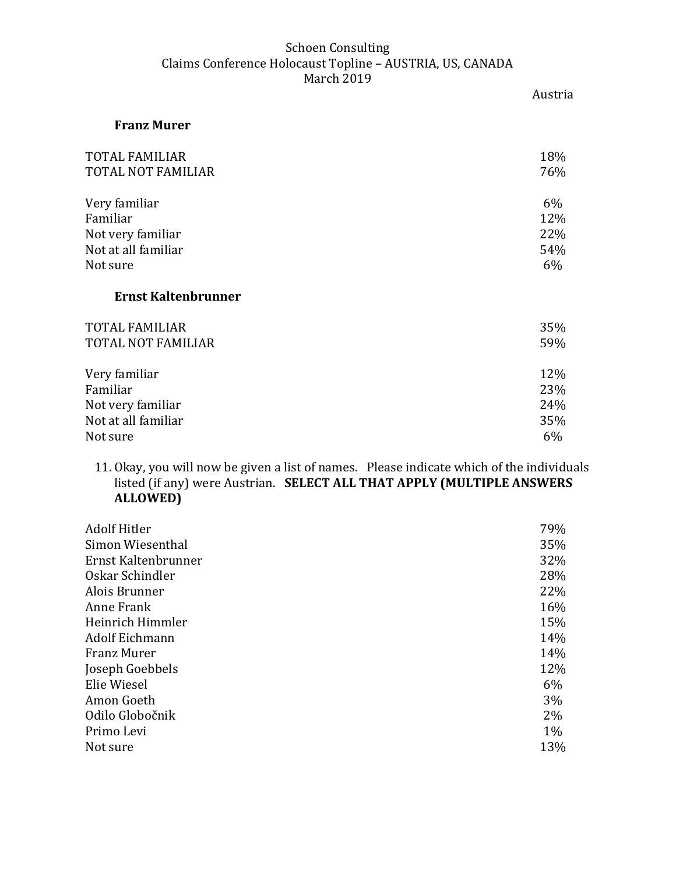|                            | Austria |
|----------------------------|---------|
| <b>Franz Murer</b>         |         |
| TOTAL FAMILIAR             | 18%     |
| TOTAL NOT FAMILIAR         | 76%     |
| Very familiar              | 6%      |
| Familiar                   | 12%     |
| Not very familiar          | 22%     |
| Not at all familiar        | 54%     |
| Not sure                   | 6%      |
| <b>Ernst Kaltenbrunner</b> |         |
| TOTAL FAMILIAR             | 35%     |
| TOTAL NOT FAMILIAR         | 59%     |
| Very familiar              | 12%     |
| Familiar                   | 23%     |
| Not very familiar          | 24%     |
| Not at all familiar        | 35%     |
| Not sure                   | 6%      |

11. Okay, you will now be given a list of names. Please indicate which of the individuals listed (if any) were Austrian. **SELECT ALL THAT APPLY (MULTIPLE ANSWERS ALLOWED)**

| <b>Adolf Hitler</b>   | 79%   |
|-----------------------|-------|
| Simon Wiesenthal      | 35%   |
| Ernst Kaltenbrunner   | 32%   |
| Oskar Schindler       | 28%   |
| Alois Brunner         | 22%   |
| Anne Frank            | 16%   |
| Heinrich Himmler      | 15%   |
| <b>Adolf Eichmann</b> | 14%   |
| <b>Franz Murer</b>    | 14%   |
| Joseph Goebbels       | 12%   |
| Elie Wiesel           | 6%    |
| Amon Goeth            | $3\%$ |
| Odilo Globočnik       | $2\%$ |
| Primo Levi            | $1\%$ |
| Not sure              | 13%   |
|                       |       |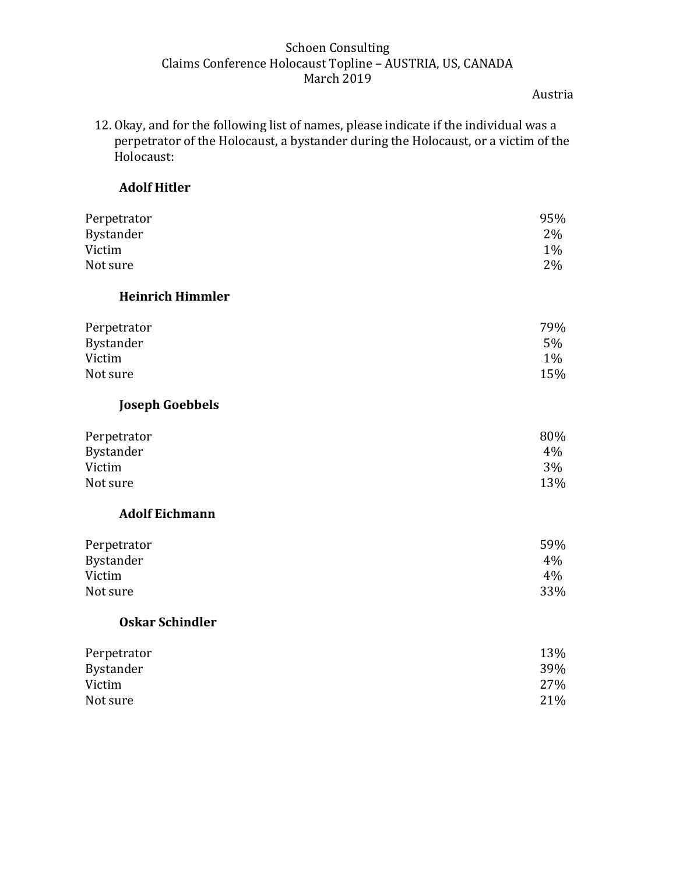Austria

12. Okay, and for the following list of names, please indicate if the individual was a perpetrator of the Holocaust, a bystander during the Holocaust, or a victim of the Holocaust:

# **Adolf Hitler**

| Perpetrator             | 95%   |
|-------------------------|-------|
| Bystander               | 2%    |
| Victim                  | 1%    |
| Not sure                | 2%    |
| <b>Heinrich Himmler</b> |       |
| Perpetrator             | 79%   |
| Bystander               | 5%    |
| Victim                  | $1\%$ |
| Not sure                | 15%   |
| <b>Joseph Goebbels</b>  |       |
| Perpetrator             | 80%   |
| Bystander               | 4%    |
| Victim                  | 3%    |
| Not sure                | 13%   |
| <b>Adolf Eichmann</b>   |       |
| Perpetrator             | 59%   |
| Bystander               | 4%    |
| Victim                  | 4%    |
| Not sure                | 33%   |
| <b>Oskar Schindler</b>  |       |
| Perpetrator             | 13%   |
| Bystander               | 39%   |
| Victim                  | 27%   |
| Not sure                | 21%   |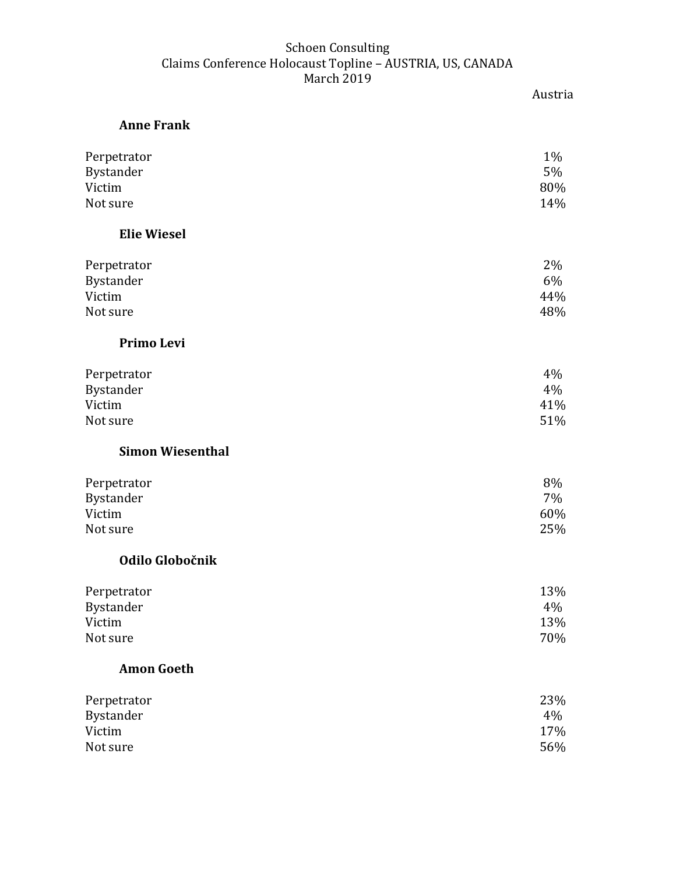| <b>Anne Frank</b>       |       |
|-------------------------|-------|
| Perpetrator             | $1\%$ |
| Bystander               | 5%    |
| Victim                  | 80%   |
| Not sure                | 14%   |
| <b>Elie Wiesel</b>      |       |
| Perpetrator             | 2%    |
| Bystander               | 6%    |
| Victim                  | 44%   |
| Not sure                | 48%   |
| Primo Levi              |       |
| Perpetrator             | 4%    |
| Bystander               | 4%    |
| Victim                  | 41%   |
| Not sure                | 51%   |
| <b>Simon Wiesenthal</b> |       |
| Perpetrator             | 8%    |
| Bystander               | 7%    |
| Victim                  | 60%   |
| Not sure                | 25%   |
| Odilo Globočnik         |       |
| Perpetrator             | 13%   |
| <b>Bystander</b>        | 4%    |
| Victim                  | 13%   |
| Not sure                | 70%   |
| <b>Amon Goeth</b>       |       |
| Perpetrator             | 23%   |
| Bystander               | 4%    |
| Victim                  | 17%   |
| Not sure                | 56%   |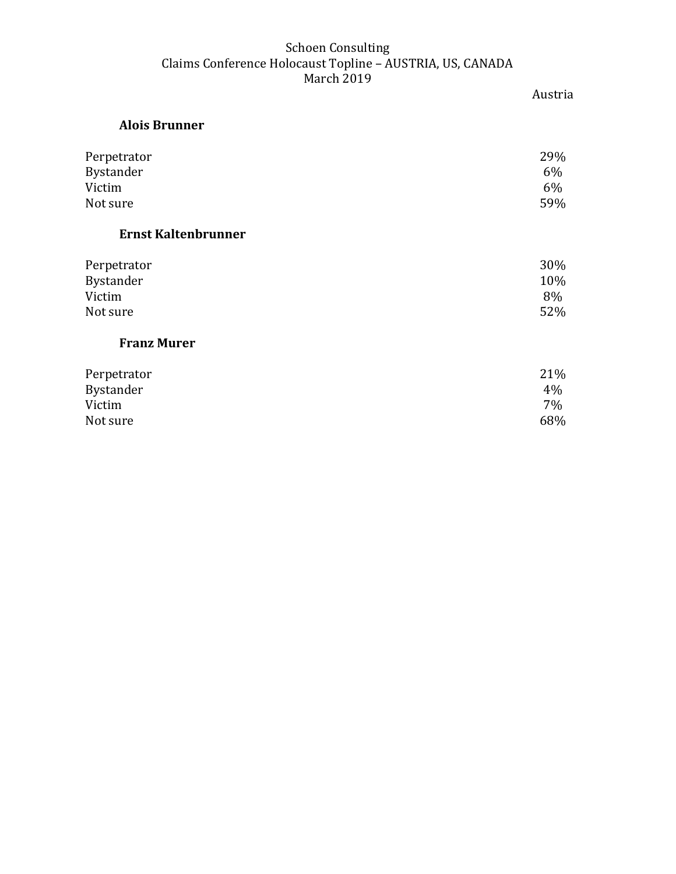# Austria

# **Alois Brunner**

| Perpetrator<br><b>Bystander</b><br>Victim | 29%<br>$6\%$<br>$6\%$ |
|-------------------------------------------|-----------------------|
| Not sure                                  | 59%                   |
| <b>Ernst Kaltenbrunner</b>                |                       |
| Perpetrator                               | 30%                   |
| Bystander                                 | 10%                   |
| Victim                                    | 8%                    |
| Not sure                                  | 52%                   |
| <b>Franz Murer</b>                        |                       |
| Perpetrator                               | 21%                   |
| Bystander                                 | 4%                    |
| Victim                                    | 7%                    |
| Not sure                                  | 68%                   |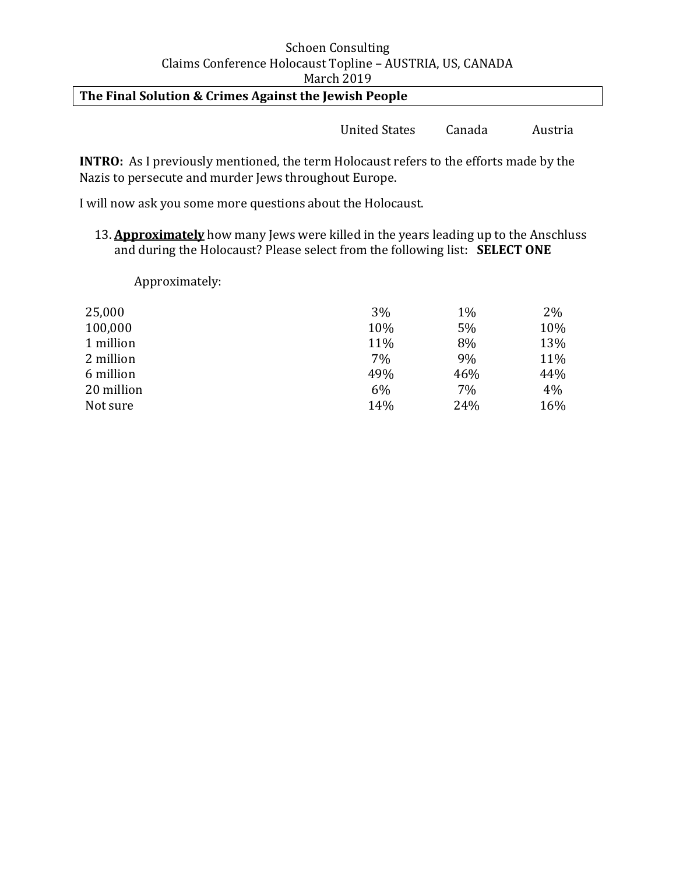# **The Final Solution & Crimes Against the Jewish People**

United States Canada Austria

**INTRO:** As I previously mentioned, the term Holocaust refers to the efforts made by the Nazis to persecute and murder Jews throughout Europe.

I will now ask you some more questions about the Holocaust.

13. **Approximately** how many Jews were killed in the years leading up to the Anschluss and during the Holocaust? Please select from the following list: **SELECT ONE**

Approximately:

| 25,000     | 3%  | 1%  | 2%  |
|------------|-----|-----|-----|
| 100,000    | 10% | 5%  | 10% |
| 1 million  | 11% | 8%  | 13% |
| 2 million  | 7%  | 9%  | 11% |
| 6 million  | 49% | 46% | 44% |
| 20 million | 6%  | 7%  | 4%  |
| Not sure   | 14% | 24% | 16% |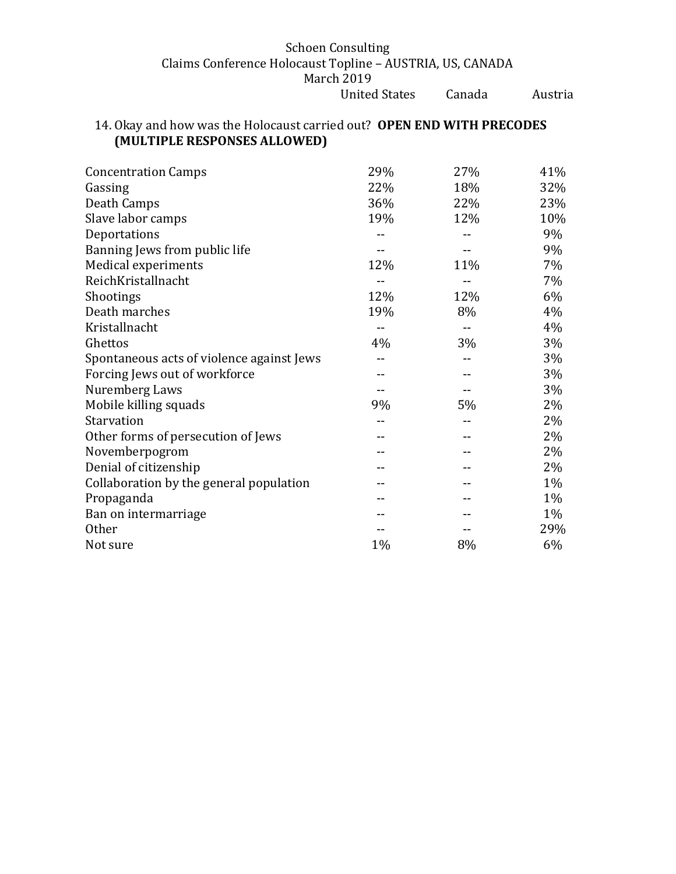# 14. Okay and how was the Holocaust carried out? **OPEN END WITH PRECODES (MULTIPLE RESPONSES ALLOWED)**

| <b>Concentration Camps</b>                | 29% | 27% | 41%   |
|-------------------------------------------|-----|-----|-------|
| Gassing                                   | 22% | 18% | 32%   |
| Death Camps                               | 36% | 22% | 23%   |
| Slave labor camps                         | 19% | 12% | 10%   |
| Deportations                              |     |     | 9%    |
| Banning Jews from public life             |     |     | 9%    |
| Medical experiments                       | 12% | 11% | 7%    |
| ReichKristallnacht                        |     |     | 7%    |
| Shootings                                 | 12% | 12% | 6%    |
| Death marches                             | 19% | 8%  | 4%    |
| Kristallnacht                             | --  |     | 4%    |
| Ghettos                                   | 4%  | 3%  | 3%    |
| Spontaneous acts of violence against Jews |     |     | 3%    |
| Forcing Jews out of workforce             |     |     | 3%    |
| Nuremberg Laws                            |     |     | 3%    |
| Mobile killing squads                     | 9%  | 5%  | 2%    |
| Starvation                                |     |     | 2%    |
| Other forms of persecution of Jews        |     |     | 2%    |
| Novemberpogrom                            |     |     | 2%    |
| Denial of citizenship                     |     |     | 2%    |
| Collaboration by the general population   |     |     | 1%    |
| Propaganda                                |     |     | 1%    |
| Ban on intermarriage                      |     |     | $1\%$ |
| <b>Other</b>                              |     |     | 29%   |
| Not sure                                  | 1%  | 8%  | 6%    |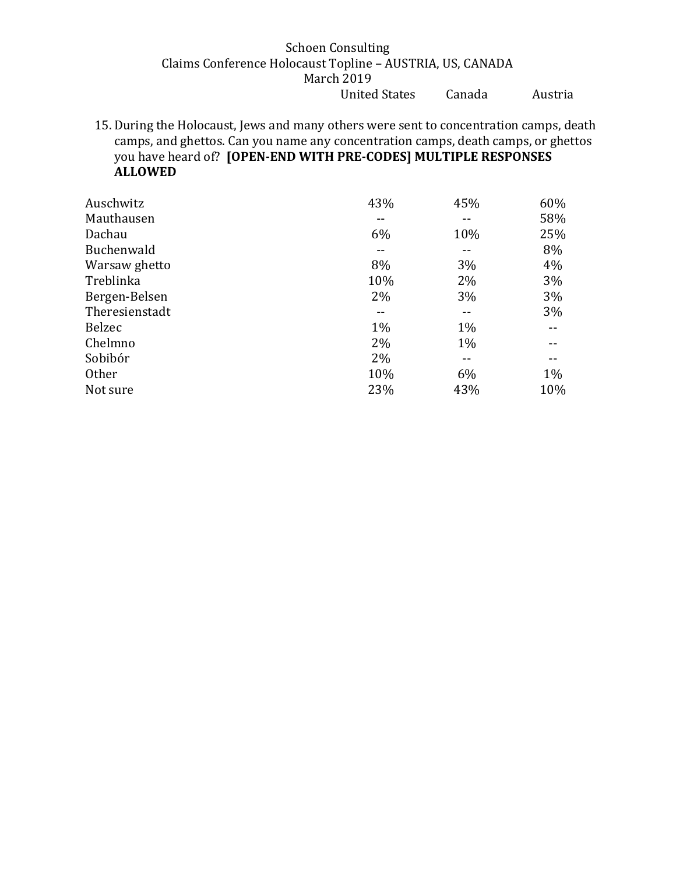15. During the Holocaust, Jews and many others were sent to concentration camps, death camps, and ghettos. Can you name any concentration camps, death camps, or ghettos you have heard of? **[OPEN-END WITH PRE-CODES] MULTIPLE RESPONSES ALLOWED**

| Auschwitz      | 43%   | 45%   | 60% |
|----------------|-------|-------|-----|
| Mauthausen     |       |       | 58% |
| Dachau         | 6%    | 10%   | 25% |
| Buchenwald     |       |       | 8%  |
| Warsaw ghetto  | 8%    | 3%    | 4%  |
| Treblinka      | 10%   | 2%    | 3%  |
| Bergen-Belsen  | $2\%$ | 3%    | 3%  |
| Theresienstadt |       |       | 3%  |
| <b>Belzec</b>  | $1\%$ | $1\%$ |     |
| Chelmno        | 2%    | $1\%$ |     |
| Sobibór        | 2%    |       |     |
| <b>Other</b>   | 10%   | 6%    | 1%  |
| Not sure       | 23%   | 43%   | 10% |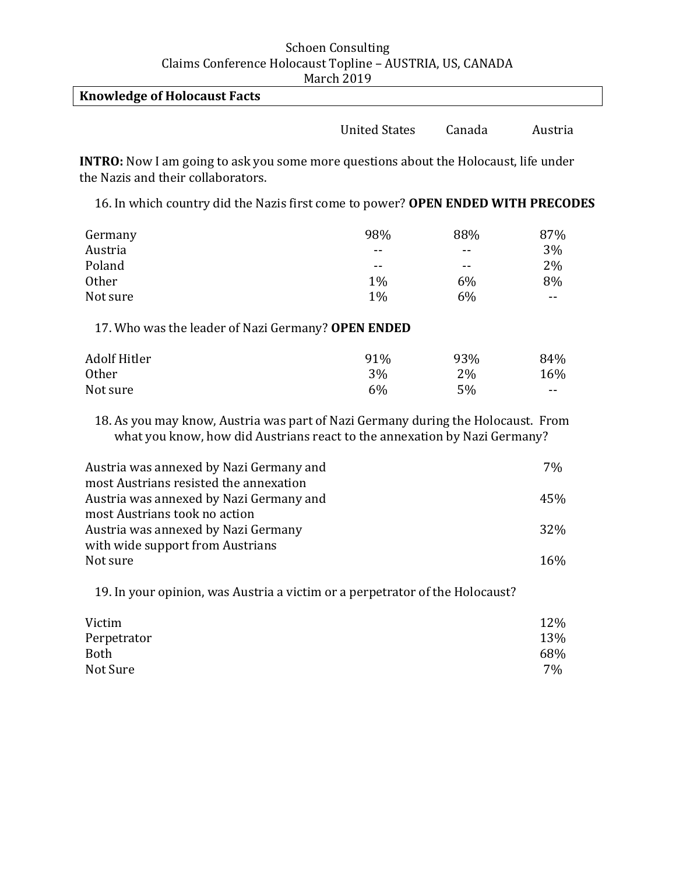| $1.191 \text{ cm} \pm 0.13$         |                      |        |         |
|-------------------------------------|----------------------|--------|---------|
| <b>Knowledge of Holocaust Facts</b> |                      |        |         |
|                                     | <b>United States</b> | Canada | Austria |

**INTRO:** Now I am going to ask you some more questions about the Holocaust, life under the Nazis and their collaborators.

16. In which country did the Nazis first come to power? **OPEN ENDED WITH PRECODES**

| Germany  | 98%   | 88%   | 87% |
|----------|-------|-------|-----|
| Austria  | $- -$ | $- -$ | 3%  |
| Poland   | $- -$ | $- -$ | 2%  |
| Other    | $1\%$ | 6%    | 8%  |
| Not sure | $1\%$ | 6%    | --  |

17. Who was the leader of Nazi Germany? **OPEN ENDED**

| <b>Adolf Hitler</b> | 91% | 93% | 84%        |
|---------------------|-----|-----|------------|
| <b>Other</b>        | 3%  | 2%  | 16%        |
| Not sure            | 6%  | 5%  | $\sim$ $-$ |

18. As you may know, Austria was part of Nazi Germany during the Holocaust. From what you know, how did Austrians react to the annexation by Nazi Germany?

| Austria was annexed by Nazi Germany and | 7%  |
|-----------------------------------------|-----|
| most Austrians resisted the annexation  |     |
| Austria was annexed by Nazi Germany and | 45% |
| most Austrians took no action           |     |
| Austria was annexed by Nazi Germany     | 32% |
| with wide support from Austrians        |     |
| Not sure                                | 16% |

19. In your opinion, was Austria a victim or a perpetrator of the Holocaust?

| Victim      | 12% |
|-------------|-----|
| Perpetrator | 13% |
| <b>Both</b> | 68% |
| Not Sure    | 7%  |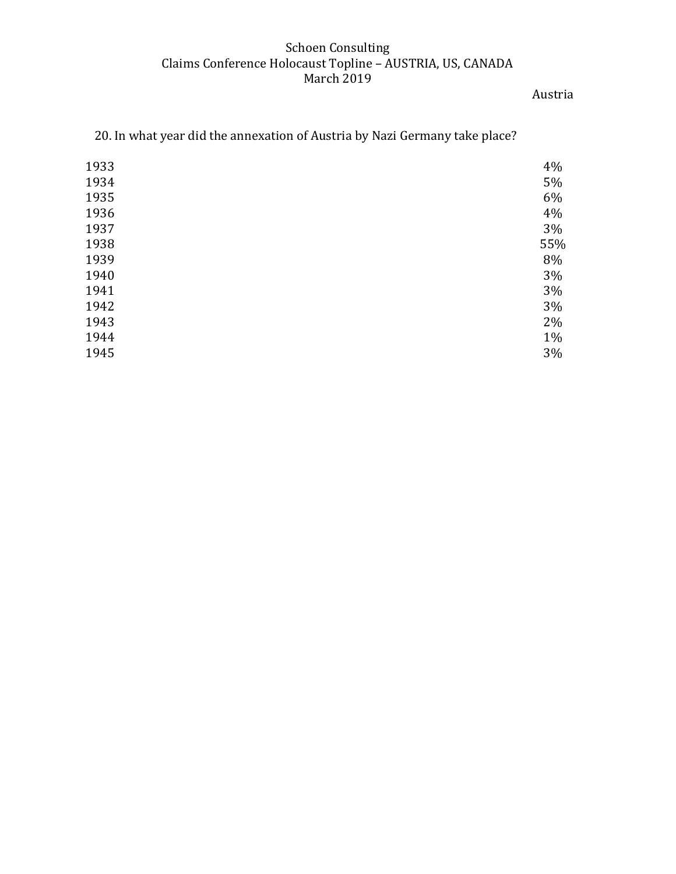Austria

| 1933 | 4%  |
|------|-----|
| 1934 | 5%  |
| 1935 | 6%  |
| 1936 | 4%  |
| 1937 | 3%  |
| 1938 | 55% |
| 1939 | 8%  |
| 1940 | 3%  |
| 1941 | 3%  |
| 1942 | 3%  |
| 1943 | 2%  |
| 1944 | 1%  |
| 1945 | 3%  |
|      |     |

20. In what year did the annexation of Austria by Nazi Germany take place?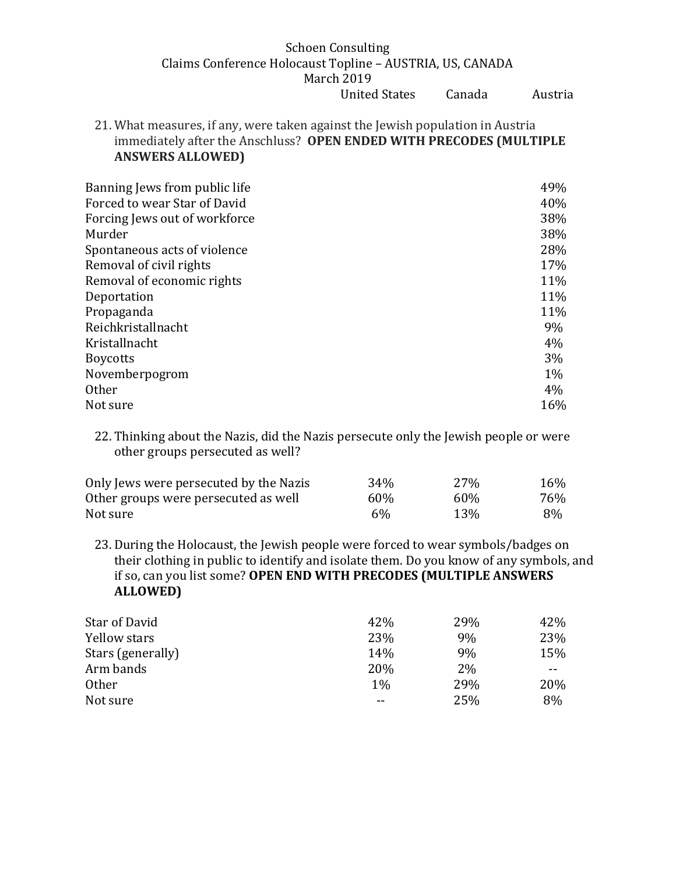21. What measures, if any, were taken against the Jewish population in Austria immediately after the Anschluss? **OPEN ENDED WITH PRECODES (MULTIPLE ANSWERS ALLOWED)** 

| Banning Jews from public life | 49%   |
|-------------------------------|-------|
| Forced to wear Star of David  | 40%   |
| Forcing Jews out of workforce | 38%   |
| Murder                        | 38%   |
| Spontaneous acts of violence  | 28%   |
| Removal of civil rights       | 17%   |
| Removal of economic rights    | 11%   |
| Deportation                   | 11%   |
| Propaganda                    | 11%   |
| Reichkristallnacht            | 9%    |
| Kristallnacht                 | 4%    |
| <b>Boycotts</b>               | $3\%$ |
| Novemberpogrom                | $1\%$ |
| <b>Other</b>                  | 4%    |
| Not sure                      | 16%   |

22. Thinking about the Nazis, did the Nazis persecute only the Jewish people or were other groups persecuted as well?

| Only Jews were persecuted by the Nazis | 34% | 27%        | 16% |
|----------------------------------------|-----|------------|-----|
| Other groups were persecuted as well   | 60% | 60%        | 76% |
| Not sure                               | 6%  | <b>13%</b> | 8%  |

23. During the Holocaust, the Jewish people were forced to wear symbols/badges on their clothing in public to identify and isolate them. Do you know of any symbols, and if so, can you list some? **OPEN END WITH PRECODES (MULTIPLE ANSWERS ALLOWED)**

| Star of David     | 42%   | 29% | 42% |
|-------------------|-------|-----|-----|
| Yellow stars      | 23%   | 9%  | 23% |
| Stars (generally) | 14%   | 9%  | 15% |
| Arm bands         | 20%   | 2%  | --  |
| <b>Other</b>      | $1\%$ | 29% | 20% |
| Not sure          | --    | 25% | 8%  |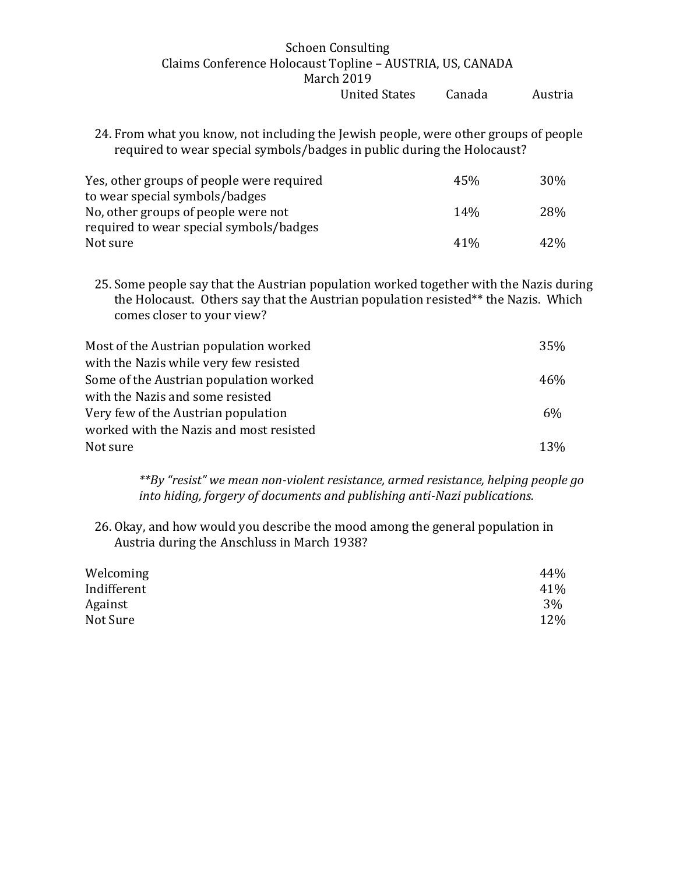24. From what you know, not including the Jewish people, were other groups of people required to wear special symbols/badges in public during the Holocaust?

| Yes, other groups of people were required | 45%    | 30 <sub>%</sub> |
|-------------------------------------------|--------|-----------------|
| to wear special symbols/badges            |        |                 |
| No, other groups of people were not       | 14%    | <b>28%</b>      |
| required to wear special symbols/badges   |        |                 |
| Not sure                                  | $41\%$ | 42%             |

25. Some people say that the Austrian population worked together with the Nazis during the Holocaust. Others say that the Austrian population resisted\*\* the Nazis. Which comes closer to your view?

| Most of the Austrian population worked  | 35%        |
|-----------------------------------------|------------|
| with the Nazis while very few resisted  |            |
| Some of the Austrian population worked  | 46%        |
| with the Nazis and some resisted        |            |
| Very few of the Austrian population     | 6%         |
| worked with the Nazis and most resisted |            |
| Not sure                                | <b>13%</b> |
|                                         |            |

*\*\*By "resist" we mean non-violent resistance, armed resistance, helping people go into hiding, forgery of documents and publishing anti-Nazi publications.* 

26. Okay, and how would you describe the mood among the general population in Austria during the Anschluss in March 1938?

| Welcoming   | 44% |
|-------------|-----|
| Indifferent | 41% |
| Against     | 3%  |
| Not Sure    | 12% |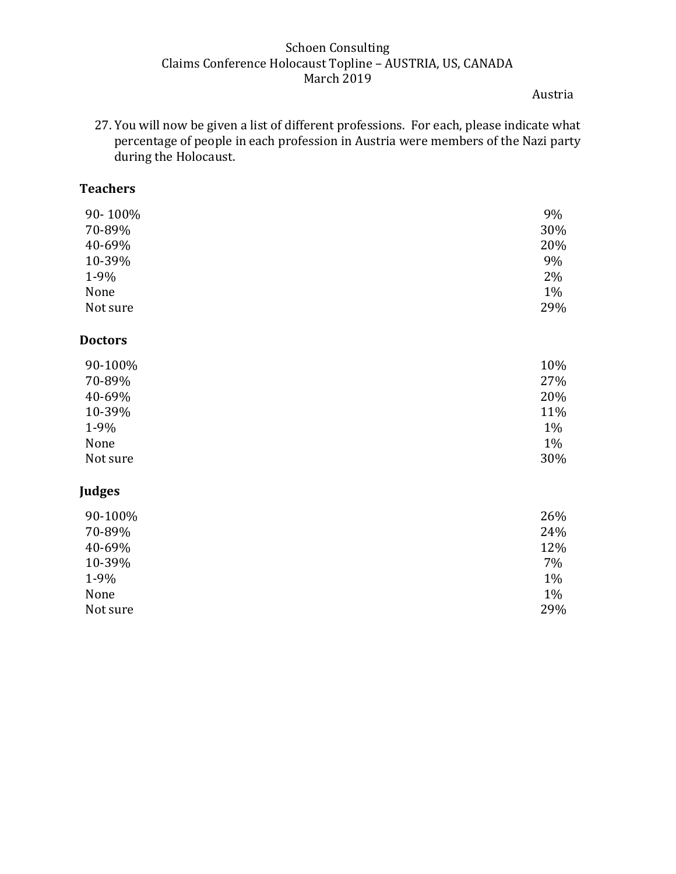Austria

27. You will now be given a list of different professions. For each, please indicate what percentage of people in each profession in Austria were members of the Nazi party during the Holocaust.

# **Teachers**

| 90-100%        | 9%  |
|----------------|-----|
| 70-89%         | 30% |
| 40-69%         | 20% |
| 10-39%         | 9%  |
| 1-9%           | 2%  |
| None           | 1%  |
| Not sure       | 29% |
| <b>Doctors</b> |     |
| 90-100%        | 10% |
| 70-89%         | 27% |
| 40-69%         | 20% |
| 10-39%         | 11% |
| 1-9%           | 1%  |
| None           | 1%  |
| Not sure       | 30% |
| <b>Judges</b>  |     |
| 90-100%        | 26% |
| 70-89%         | 24% |
| 40-69%         | 12% |
| 10-39%         | 7%  |
| 1-9%           | 1%  |
| None           | 1%  |
| Not sure       | 29% |
|                |     |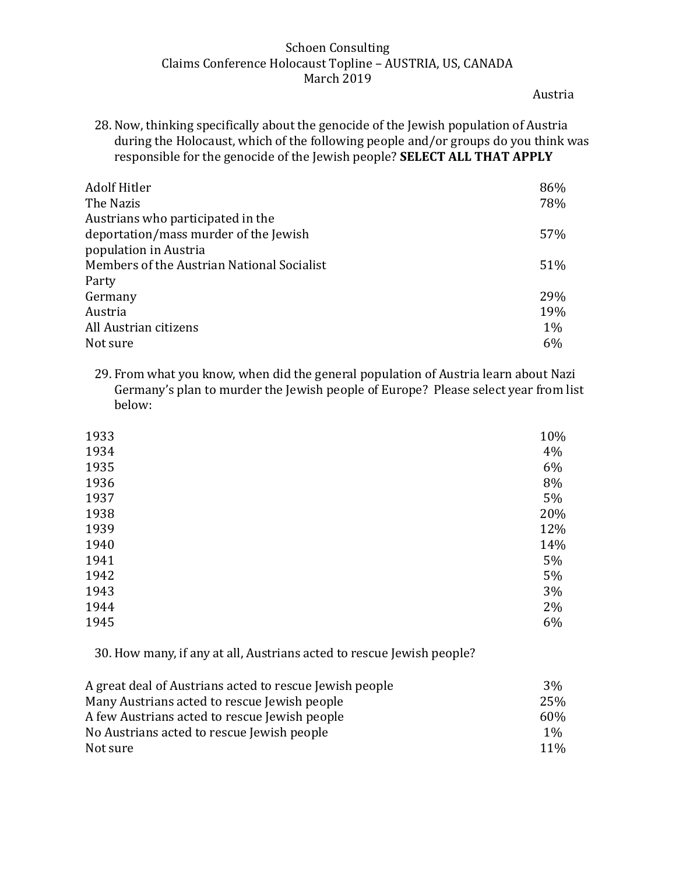Austria

28. Now, thinking specifically about the genocide of the Jewish population of Austria during the Holocaust, which of the following people and/or groups do you think was responsible for the genocide of the Jewish people? **SELECT ALL THAT APPLY** 

| <b>Adolf Hitler</b>                        | 86%   |
|--------------------------------------------|-------|
| The Nazis                                  | 78%   |
| Austrians who participated in the          |       |
| deportation/mass murder of the Jewish      | 57%   |
| population in Austria                      |       |
| Members of the Austrian National Socialist | 51%   |
| Party                                      |       |
| Germany                                    | 29%   |
| Austria                                    | 19%   |
| All Austrian citizens                      | $1\%$ |
| Not sure                                   | 6%    |

29. From what you know, when did the general population of Austria learn about Nazi Germany's plan to murder the Jewish people of Europe? Please select year from list below:

| 1933 | 10% |
|------|-----|
| 1934 | 4%  |
| 1935 | 6%  |
| 1936 | 8%  |
| 1937 | 5%  |
| 1938 | 20% |
| 1939 | 12% |
| 1940 | 14% |
| 1941 | 5%  |
| 1942 | 5%  |
| 1943 | 3%  |
| 1944 | 2%  |
| 1945 | 6%  |
|      |     |

30. How many, if any at all, Austrians acted to rescue Jewish people?

| A great deal of Austrians acted to rescue Jewish people | $3\%$ |
|---------------------------------------------------------|-------|
| Many Austrians acted to rescue Jewish people            | 25%   |
| A few Austrians acted to rescue Jewish people           | 60%   |
| No Austrians acted to rescue Jewish people              | $1\%$ |
| Not sure                                                | 11%   |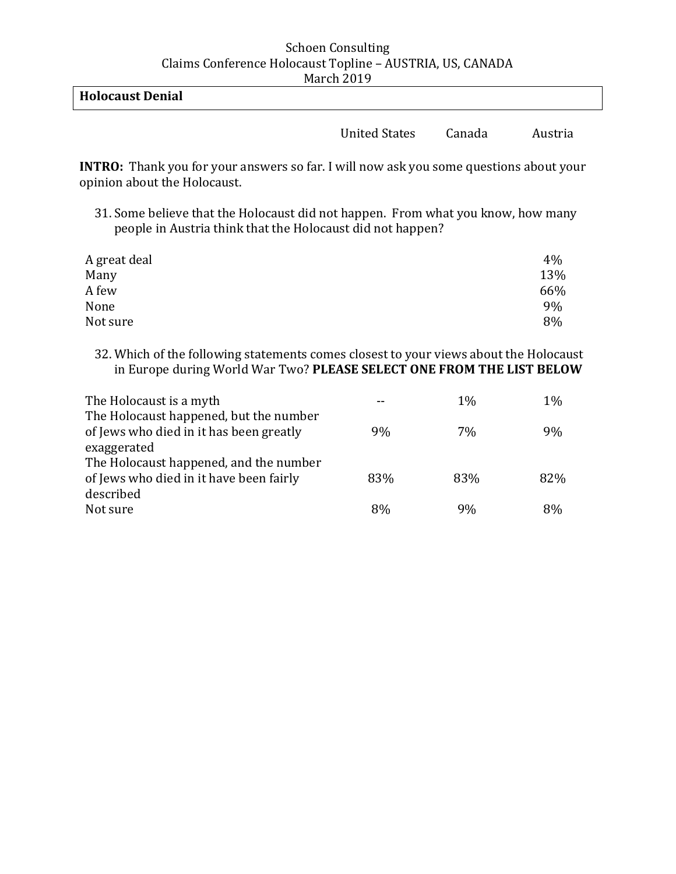| <b>Holocaust Denial</b> |  |  |
|-------------------------|--|--|
|                         |  |  |

United States Canada Austria

**INTRO:** Thank you for your answers so far. I will now ask you some questions about your opinion about the Holocaust.

31. Some believe that the Holocaust did not happen. From what you know, how many people in Austria think that the Holocaust did not happen?

| A great deal | 4%  |
|--------------|-----|
| Many         | 13% |
| A few        | 66% |
| None         | 9%  |
| Not sure     | 8%  |

32. Which of the following statements comes closest to your views about the Holocaust in Europe during World War Two? **PLEASE SELECT ONE FROM THE LIST BELOW**

| The Holocaust is a myth                                                           |     | $1\%$ | $1\%$ |
|-----------------------------------------------------------------------------------|-----|-------|-------|
| The Holocaust happened, but the number<br>of Jews who died in it has been greatly | 9%  | 7%    | 9%    |
| exaggerated                                                                       |     |       |       |
| The Holocaust happened, and the number                                            |     |       |       |
| of Jews who died in it have been fairly                                           | 83% | 83%   | 82%   |
| described                                                                         |     |       |       |
| Not sure                                                                          | 8%  | 9%    | 8%    |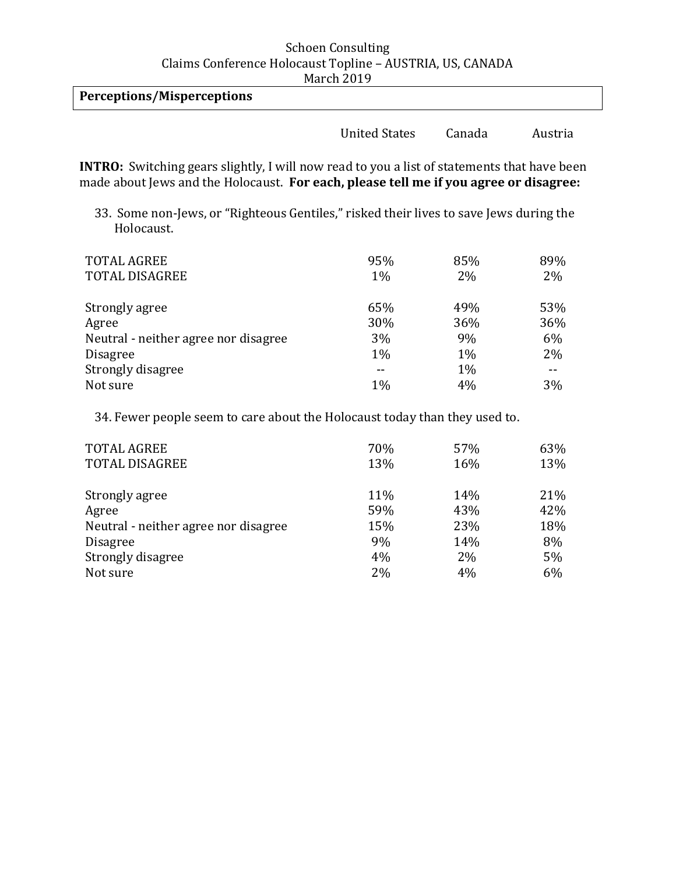| March 2017                 |                      |        |         |
|----------------------------|----------------------|--------|---------|
| Perceptions/Misperceptions |                      |        |         |
|                            | <b>United States</b> | Canada | Austria |

**INTRO:** Switching gears slightly, I will now read to you a list of statements that have been made about Jews and the Holocaust. **For each, please tell me if you agree or disagree:** 

33. Some non-Jews, or "Righteous Gentiles," risked their lives to save Jews during the Holocaust.

| <b>TOTAL AGREE</b><br><b>TOTAL DISAGREE</b> | 95%<br>1% | 85%<br>2% | 89%<br>2% |
|---------------------------------------------|-----------|-----------|-----------|
| Strongly agree                              | 65%       | 49%       | 53%       |
| Agree                                       | 30%       | 36%       | 36%       |
| Neutral - neither agree nor disagree        | 3%        | 9%        | 6%        |
| <b>Disagree</b>                             | 1%        | 1%        | 2%        |
| Strongly disagree                           |           | $1\%$     |           |
| Not sure                                    | 1%        | 4%        | 3%        |

34. Fewer people seem to care about the Holocaust today than they used to.

| <b>TOTAL AGREE</b>                   | 70% | 57% | 63% |
|--------------------------------------|-----|-----|-----|
| <b>TOTAL DISAGREE</b>                | 13% | 16% | 13% |
| Strongly agree                       | 11% | 14% | 21% |
| Agree                                | 59% | 43% | 42% |
| Neutral - neither agree nor disagree | 15% | 23% | 18% |
| <b>Disagree</b>                      | 9%  | 14% | 8%  |
| Strongly disagree                    | 4%  | 2%  | 5%  |
| Not sure                             | 2%  | 4%  | 6%  |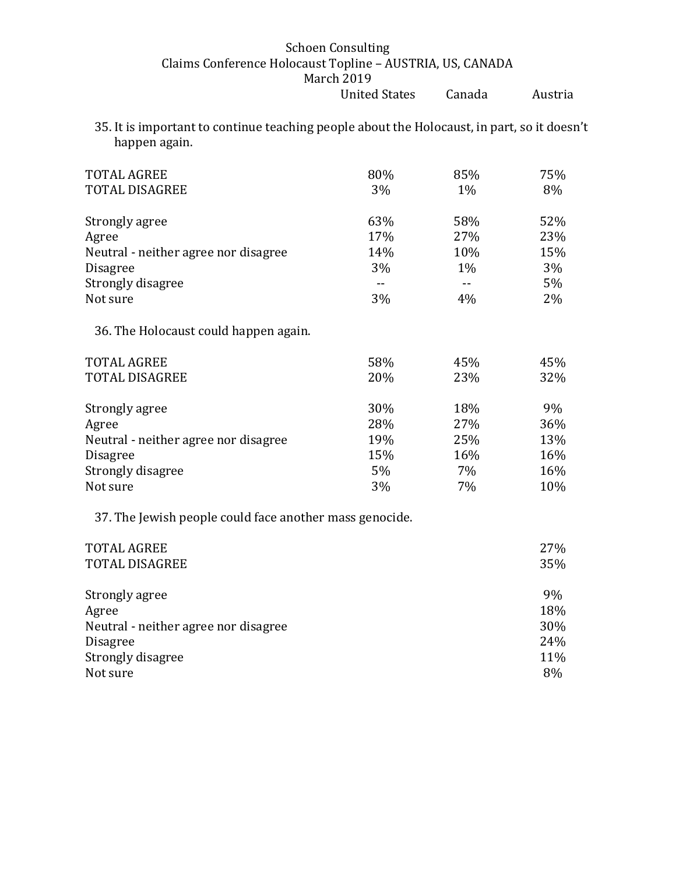35. It is important to continue teaching people about the Holocaust, in part, so it doesn't happen again.

| <b>TOTAL AGREE</b><br><b>TOTAL DISAGREE</b> | 80%<br>3% | 85%<br>$1\%$ | 75%<br>8% |
|---------------------------------------------|-----------|--------------|-----------|
| Strongly agree                              | 63%       | 58%          | 52%       |
| Agree                                       | 17%       | 27%          | 23%       |
| Neutral - neither agree nor disagree        | 14%       | 10%          | 15%       |
| <b>Disagree</b>                             | 3%        | $1\%$        | 3%        |
| Strongly disagree                           | $- -$     |              | 5%        |
| Not sure                                    | 3%        | 4%           | 2%        |
| 36. The Holocaust could happen again.       |           |              |           |
| <b>TOTAL AGREE</b>                          | 58%       | 45%          | 45%       |
| TOTAL DISAGREE                              | 20%       | 23%          | 32%       |
| Strongly agree                              | 30%       | 18%          | 9%        |
| Agree                                       | 28%       | 27%          | 36%       |
| Neutral - neither agree nor disagree        | 19%       | 25%          | 13%       |
| <b>Disagree</b>                             | 15%       | 16%          | 16%       |
| Strongly disagree                           | 5%        | 7%           | 16%       |
| Not sure                                    | 3%        | 7%           | 10%       |

37. The Jewish people could face another mass genocide.

| <b>TOTAL AGREE</b>                   | 27% |
|--------------------------------------|-----|
| <b>TOTAL DISAGREE</b>                | 35% |
| Strongly agree                       | 9%  |
| Agree                                | 18% |
| Neutral - neither agree nor disagree | 30% |
| <b>Disagree</b>                      | 24% |
| Strongly disagree                    | 11% |
| Not sure                             | 8%  |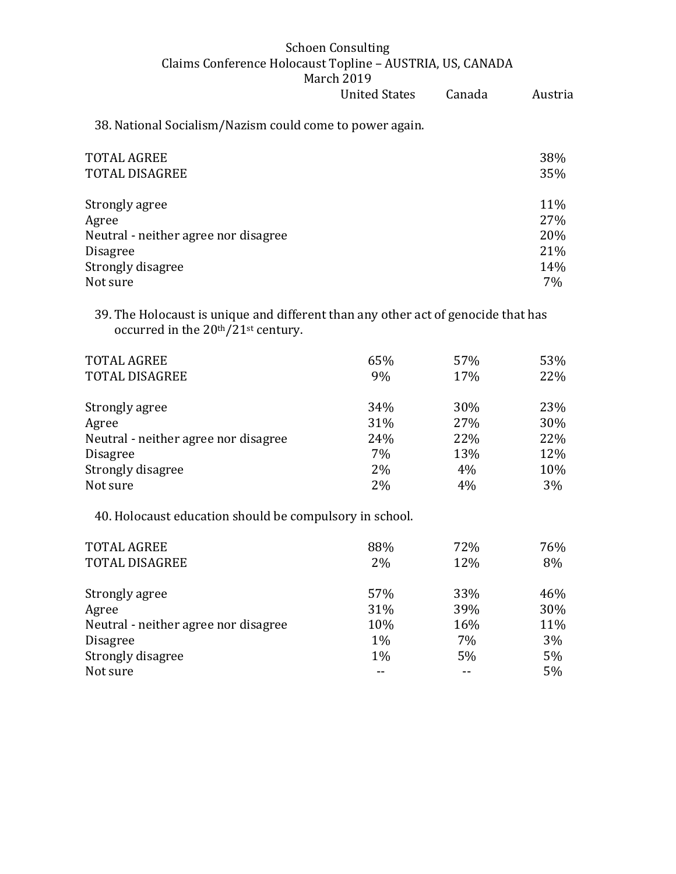United States Canada Austria 38. National Socialism/Nazism could come to power again. TOTAL AGREE 38% TOTAL DISAGREE 35% Strongly agree 11% and 11% and 11% and 11% and 11% and 11% and 11% and 11% and 11% and 11% and 11% and 11% and 11% and 11% and 11% and 11% and 11% and 11% and 11% and 11% and 11% and 11% and 11% and 11% and 11% and 11% and Agree 27% Neutral - neither agree nor disagree 20% Disagree 21% Strongly disagree 14% Not sure  $7\%$ 

39. The Holocaust is unique and different than any other act of genocide that has occurred in the 20th/21st century.

| <b>TOTAL AGREE</b><br><b>TOTAL DISAGREE</b> | 65%<br>9% | 57%<br>17% | 53%<br>22% |
|---------------------------------------------|-----------|------------|------------|
| Strongly agree                              | 34%       | 30%        | 23%        |
| Agree                                       | 31%       | 27%        | 30%        |
| Neutral - neither agree nor disagree        | 24%       | 22%        | 22%        |
| <b>Disagree</b>                             | 7%        | 13%        | 12%        |
| Strongly disagree                           | 2%        | 4%         | 10%        |
| Not sure                                    | 2%        | 4%         | 3%         |

40. Holocaust education should be compulsory in school.

| <b>TOTAL AGREE</b><br><b>TOTAL DISAGREE</b> | 88%<br>2%  | 72%<br>12% | 76%<br>8%  |
|---------------------------------------------|------------|------------|------------|
| Strongly agree<br>Agree                     | 57%<br>31% | 33%<br>39% | 46%<br>30% |
| Neutral - neither agree nor disagree        | 10%        | 16%        | 11%        |
| <b>Disagree</b>                             | $1\%$      | 7%         | 3%         |
| Strongly disagree<br>Not sure               | $1\%$      | 5%         | 5%<br>5%   |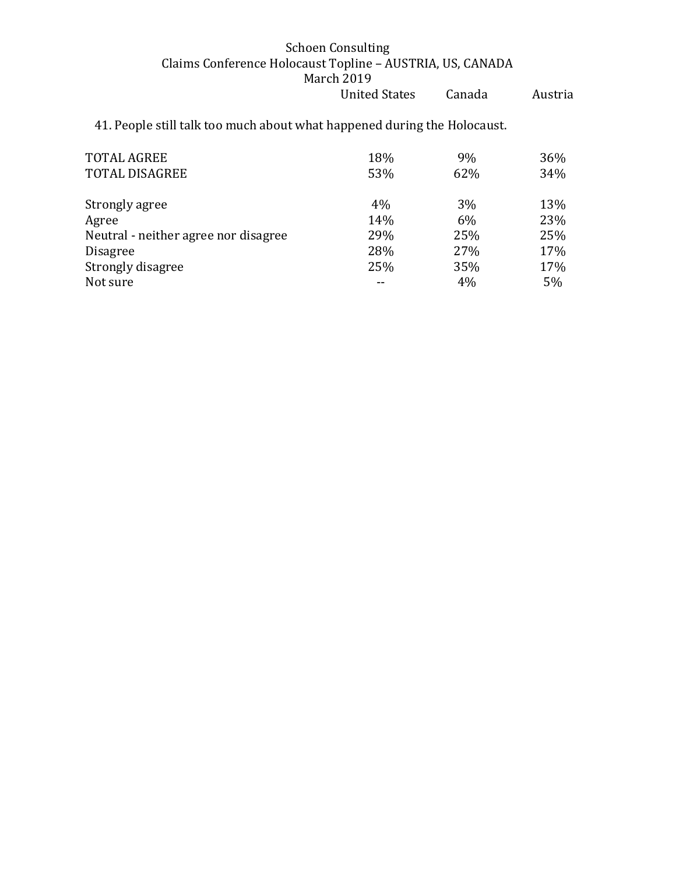41. People still talk too much about what happened during the Holocaust.

| <b>TOTAL AGREE</b><br><b>TOTAL DISAGREE</b> | 18%<br>53% | 9%<br>62% | 36%<br>34% |
|---------------------------------------------|------------|-----------|------------|
| Strongly agree                              | 4%         | 3%        | 13%        |
| Agree                                       | 14%        | 6%        | 23%        |
| Neutral - neither agree nor disagree        | 29%        | 25%       | 25%        |
| <b>Disagree</b>                             | 28%        | 27%       | 17%        |
| Strongly disagree                           | 25%        | 35%       | 17%        |
| Not sure                                    |            | 4%        | 5%         |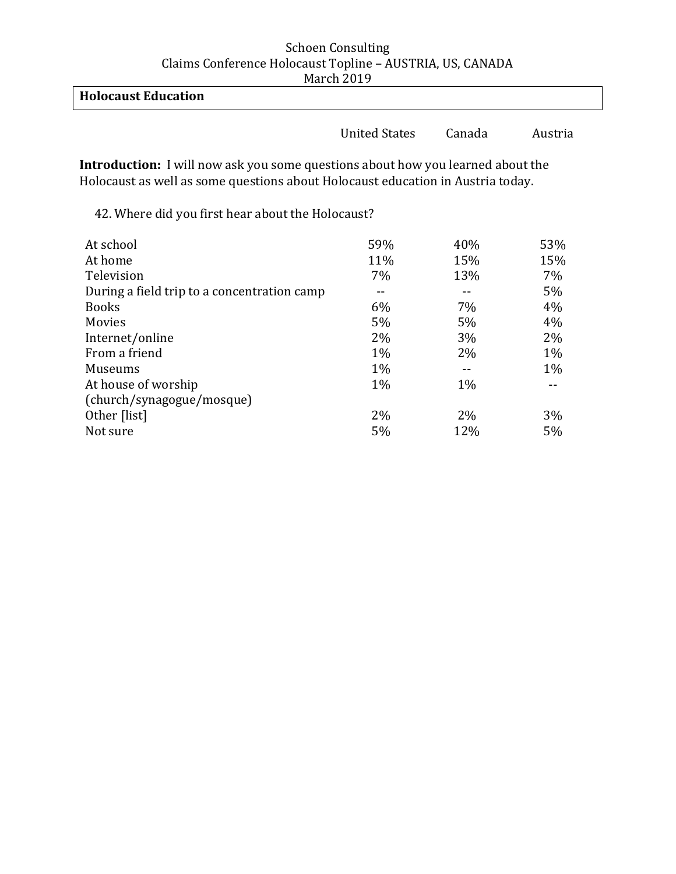| <b>Holocaust Education</b> |  |
|----------------------------|--|
|                            |  |

United States Canada Austria

**Introduction:** I will now ask you some questions about how you learned about the Holocaust as well as some questions about Holocaust education in Austria today.

42. Where did you first hear about the Holocaust?

| At school                                   | 59%   | 40%   | 53%   |
|---------------------------------------------|-------|-------|-------|
| At home                                     | 11%   | 15%   | 15%   |
| Television                                  | 7%    | 13%   | $7\%$ |
| During a field trip to a concentration camp |       |       | $5\%$ |
| <b>Books</b>                                | 6%    | 7%    | 4%    |
| Movies                                      | 5%    | 5%    | 4%    |
| Internet/online                             | 2%    | 3%    | 2%    |
| From a friend                               | $1\%$ | 2%    | 1%    |
| Museums                                     | $1\%$ |       | $1\%$ |
| At house of worship                         | $1\%$ | $1\%$ |       |
| (church/synagogue/mosque)                   |       |       |       |
| Other [list]                                | 2%    | $2\%$ | 3%    |
| Not sure                                    | 5%    | 12%   | $5\%$ |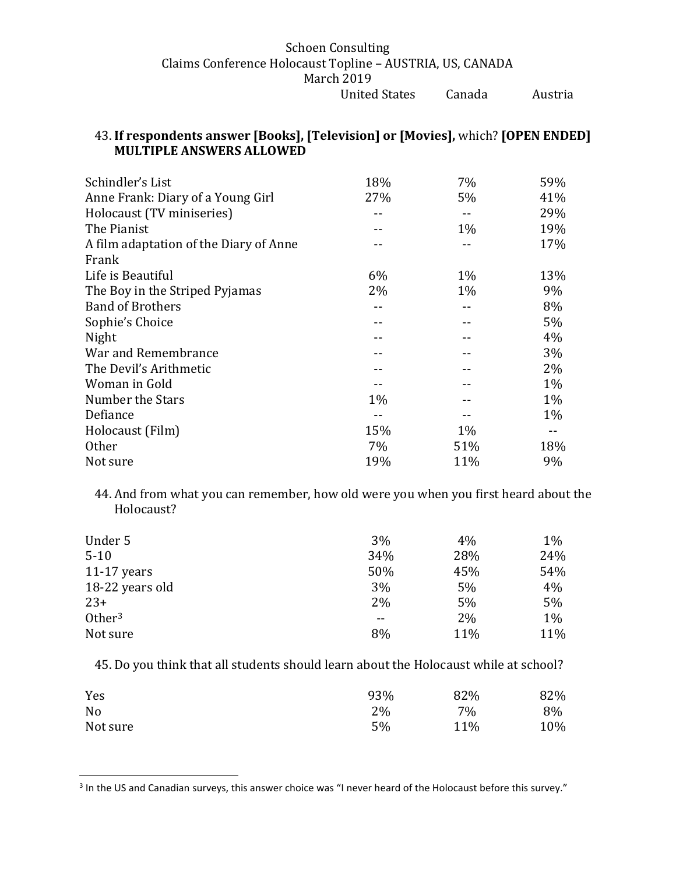# 43. **If respondents answer [Books], [Television] or [Movies],** which? **[OPEN ENDED] MULTIPLE ANSWERS ALLOWED**

| Schindler's List                       | 18%   | 7%    | 59%   |
|----------------------------------------|-------|-------|-------|
| Anne Frank: Diary of a Young Girl      | 27%   | 5%    | 41%   |
| Holocaust (TV miniseries)              |       |       | 29%   |
| The Pianist                            |       | $1\%$ | 19%   |
| A film adaptation of the Diary of Anne |       |       | 17%   |
| Frank                                  |       |       |       |
| Life is Beautiful                      | 6%    | $1\%$ | 13%   |
| The Boy in the Striped Pyjamas         | 2%    | $1\%$ | 9%    |
| <b>Band of Brothers</b>                |       | --    | 8%    |
| Sophie's Choice                        |       |       | 5%    |
| Night                                  |       |       | 4%    |
| War and Remembrance                    |       |       | 3%    |
| The Devil's Arithmetic                 |       |       | 2%    |
| Woman in Gold                          |       |       | $1\%$ |
| Number the Stars                       | $1\%$ |       | $1\%$ |
| Defiance                               |       |       | $1\%$ |
| Holocaust (Film)                       | 15%   | $1\%$ |       |
| <b>Other</b>                           | $7\%$ | 51%   | 18%   |
| Not sure                               | 19%   | 11%   | 9%    |

44. And from what you can remember, how old were you when you first heard about the Holocaust?

| Under 5            | 3%    | 4%  | $1\%$ |
|--------------------|-------|-----|-------|
| $5 - 10$           | 34%   | 28% | 24%   |
| $11-17$ years      | 50%   | 45% | 54%   |
| 18-22 years old    | 3%    | 5%  | 4%    |
| $23+$              | 2%    | 5%  | 5%    |
| Other <sup>3</sup> | $- -$ | 2%  | $1\%$ |
| Not sure           | 8%    | 11% | 11%   |

45. Do you think that all students should learn about the Holocaust while at school?

| Yes      | 93% | 82% | 82% |
|----------|-----|-----|-----|
| No       | 2%  | 7%  | 8%  |
| Not sure | 5%  | 11% | 10% |

 $\overline{\phantom{a}}$ 

 $3$  In the US and Canadian surveys, this answer choice was "I never heard of the Holocaust before this survey."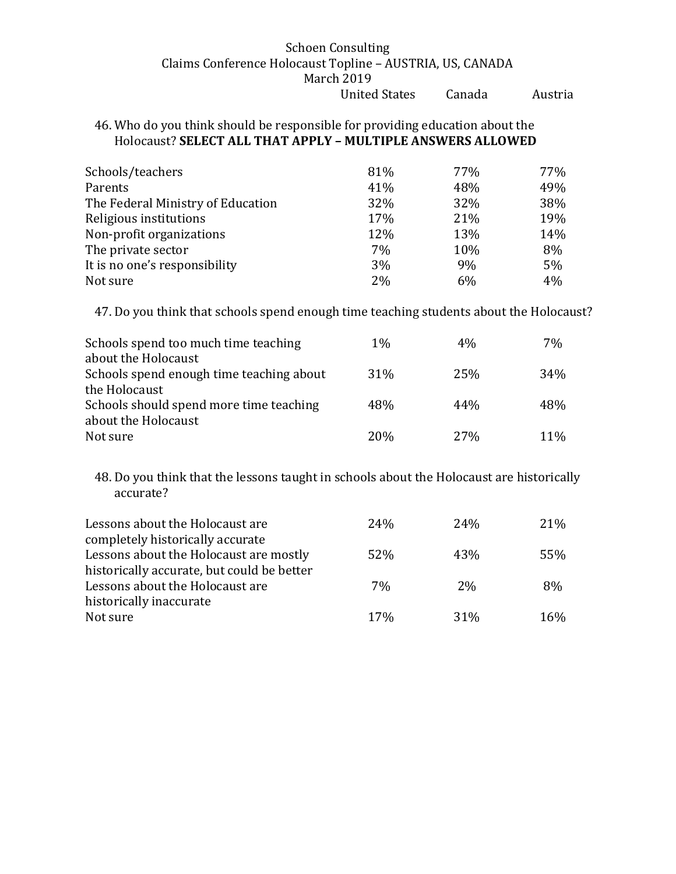## 46. Who do you think should be responsible for providing education about the Holocaust? **SELECT ALL THAT APPLY – MULTIPLE ANSWERS ALLOWED**

| Schools/teachers                  | 81% | 77% | 77% |
|-----------------------------------|-----|-----|-----|
| Parents                           | 41% | 48% | 49% |
| The Federal Ministry of Education | 32% | 32% | 38% |
| Religious institutions            | 17% | 21% | 19% |
| Non-profit organizations          | 12% | 13% | 14% |
| The private sector                | 7%  | 10% | 8%  |
| It is no one's responsibility     | 3%  | 9%  | 5%  |
| Not sure                          | 2%  | 6%  | 4%  |

47. Do you think that schools spend enough time teaching students about the Holocaust?

| Schools spend too much time teaching<br>about the Holocaust | $1\%$ | 4%  | 7%  |
|-------------------------------------------------------------|-------|-----|-----|
| Schools spend enough time teaching about                    | 31%   | 25% | 34% |
| the Holocaust<br>Schools should spend more time teaching    | 48%   | 44% | 48% |
| about the Holocaust                                         |       |     |     |
| Not sure                                                    | 20\%  | 27% | 11% |

48. Do you think that the lessons taught in schools about the Holocaust are historically accurate?

| Lessons about the Holocaust are            | 24 <sub>%</sub> | 24 <sub>%</sub> | 21% |
|--------------------------------------------|-----------------|-----------------|-----|
| completely historically accurate           |                 |                 |     |
| Lessons about the Holocaust are mostly     | 52%             | 43%             | 55% |
| historically accurate, but could be better |                 |                 |     |
| Lessons about the Holocaust are            | 7%              | 2%              | 8%  |
| historically inaccurate                    |                 |                 |     |
| Not sure                                   | 17%             | 31%             | 16% |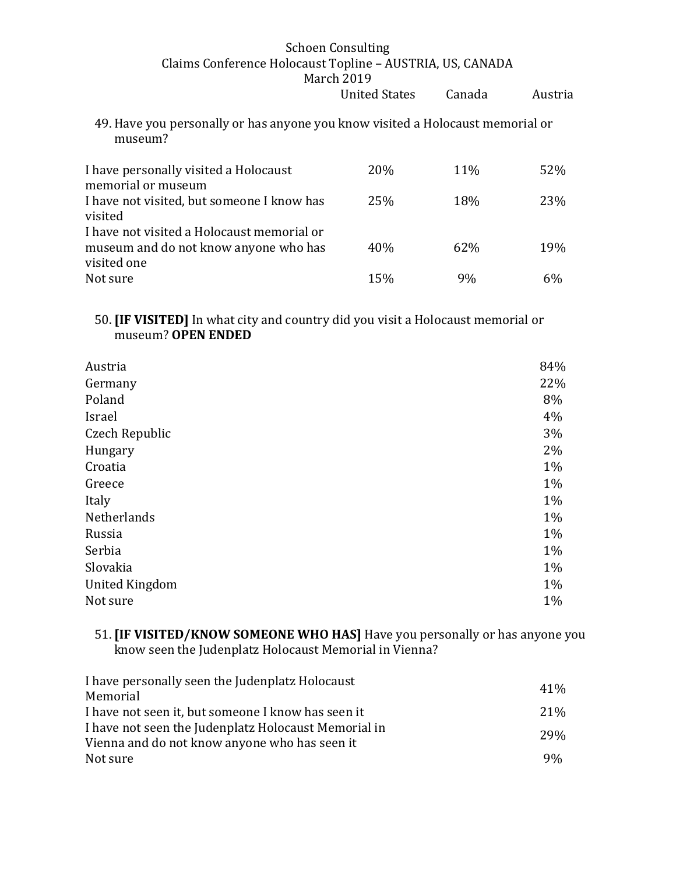49. Have you personally or has anyone you know visited a Holocaust memorial or museum?

| I have personally visited a Holocaust<br>memorial or museum                                        | <b>20%</b> | <b>11%</b> | 52% |
|----------------------------------------------------------------------------------------------------|------------|------------|-----|
| I have not visited, but someone I know has<br>visited                                              | <b>25%</b> | 18%        | 23% |
| I have not visited a Holocaust memorial or<br>museum and do not know anyone who has<br>visited one | 40%        | 62\%       | 19% |
| Not sure                                                                                           | 15%        | 9%         | 6%  |

# 50. **[IF VISITED]** In what city and country did you visit a Holocaust memorial or museum? **OPEN ENDED**

| Austria               | 84%   |
|-----------------------|-------|
| Germany               | 22%   |
| Poland                | 8%    |
| Israel                | 4%    |
| Czech Republic        | 3%    |
| Hungary               | 2%    |
| Croatia               | 1%    |
| Greece                | 1%    |
| Italy                 | 1%    |
| Netherlands           | 1%    |
| Russia                | 1%    |
| Serbia                | $1\%$ |
| Slovakia              | 1%    |
| <b>United Kingdom</b> | $1\%$ |
| Not sure              | $1\%$ |
|                       |       |

## 51. **[IF VISITED/KNOW SOMEONE WHO HAS]** Have you personally or has anyone you know seen the Judenplatz Holocaust Memorial in Vienna?

| I have personally seen the Judenplatz Holocaust                                                       | 41% |
|-------------------------------------------------------------------------------------------------------|-----|
| Memorial                                                                                              |     |
| I have not seen it, but someone I know has seen it                                                    | 21% |
| I have not seen the Judenplatz Holocaust Memorial in<br>Vienna and do not know anyone who has seen it | 29% |
| Not sure                                                                                              | 9%  |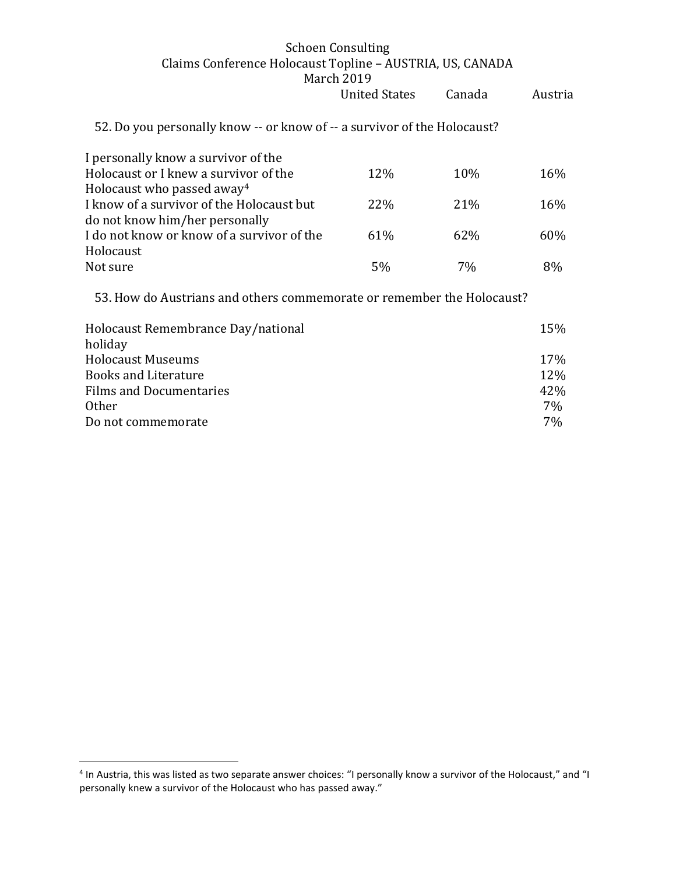|                                                                          | March 2017           |        |         |
|--------------------------------------------------------------------------|----------------------|--------|---------|
|                                                                          | <b>United States</b> | Canada | Austria |
| 52. Do you personally know -- or know of -- a survivor of the Holocaust? |                      |        |         |
| I personally know a survivor of the                                      |                      |        |         |
| Holocaust or I knew a survivor of the                                    | 12\%                 | 10%    | 16%     |
| Holocaust who passed away <sup>4</sup>                                   |                      |        |         |
| I know of a survivor of the Holocaust but                                | 22%                  | 21%    | 16%     |
| do not know him/her personally                                           |                      |        |         |
| I do not know or know of a survivor of the                               | 61%                  | 62%    | 60%     |
| Holocaust                                                                |                      |        |         |
| Not sure                                                                 | 5%                   | 7%     | 8%      |
| 53. How do Austrians and others commemorate or remember the Holocaust?   |                      |        |         |
| Holocaust Remembrance Day/national                                       |                      |        | 15%     |
| holiday                                                                  |                      |        |         |
| <b>Holocaust Museums</b>                                                 |                      |        | 17%     |

Books and Literature 12%

Other 7% Do not commemorate 7%

Films and Documentaries

 $\overline{\phantom{a}}$ 

<sup>&</sup>lt;sup>4</sup> In Austria, this was listed as two separate answer choices: "I personally know a survivor of the Holocaust," and "I personally knew a survivor of the Holocaust who has passed away."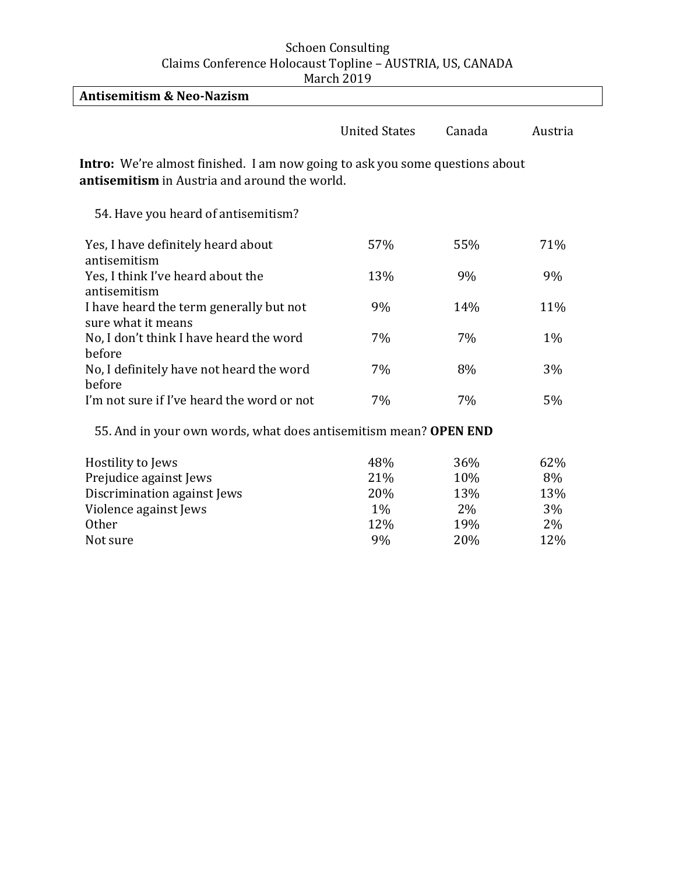| <b>Antisemitism &amp; Neo-Nazism</b>                                                                                                        |                      |        |         |
|---------------------------------------------------------------------------------------------------------------------------------------------|----------------------|--------|---------|
|                                                                                                                                             | <b>United States</b> | Canada | Austria |
| <b>Intro:</b> We're almost finished. I am now going to ask you some questions about<br><b>antisemitism</b> in Austria and around the world. |                      |        |         |
| 54. Have you heard of antisemitism?                                                                                                         |                      |        |         |
| Yes, I have definitely heard about<br>antisemitism                                                                                          | 57%                  | 55%    | 71%     |
| Yes, I think I've heard about the<br>antisemitism                                                                                           | 13%                  | 9%     | 9%      |
| I have heard the term generally but not<br>sure what it means                                                                               | 9%                   | 14%    | 11%     |
| No, I don't think I have heard the word<br>before                                                                                           | 7%                   | 7%     | $1\%$   |
| No, I definitely have not heard the word<br>before                                                                                          | 7%                   | 8%     | 3%      |
| I'm not sure if I've heard the word or not                                                                                                  | 7%                   | 7%     | 5%      |

55. And in your own words, what does antisemitism mean? **OPEN END** 

| Hostility to Jews           | 48% | 36% | 62% |
|-----------------------------|-----|-----|-----|
| Prejudice against Jews      | 21% | 10% | 8%  |
| Discrimination against Jews | 20% | 13% | 13% |
| Violence against Jews       | 1%  | 2%  | 3%  |
| <b>Other</b>                | 12% | 19% | 2%  |
| Not sure                    | 9%  | 20% | 12% |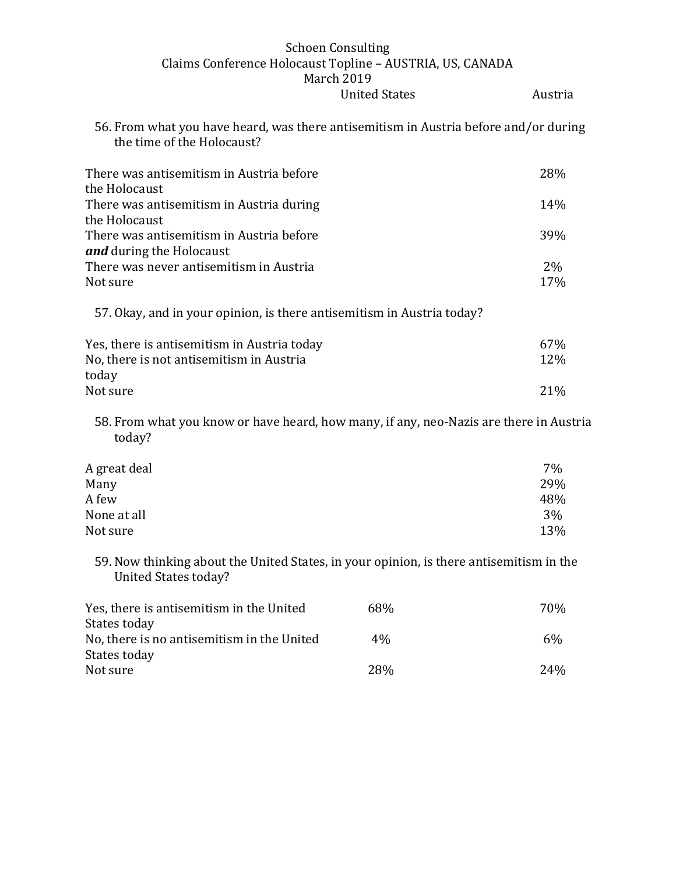56. From what you have heard, was there antisemitism in Austria before and/or during the time of the Holocaust?

| There was antisemitism in Austria before<br>the Holocaust              | 28%   |
|------------------------------------------------------------------------|-------|
| There was antisemitism in Austria during                               | 14%   |
| the Holocaust                                                          |       |
| There was antisemitism in Austria before<br>and during the Holocaust   | 39%   |
| There was never antisemitism in Austria                                | $2\%$ |
| Not sure                                                               | 17%   |
| 57. Okay, and in your opinion, is there antisemitism in Austria today? |       |

| Yes, there is antisemitism in Austria today | 67%             |
|---------------------------------------------|-----------------|
| No, there is not antisemitism in Austria    | 12%             |
| today                                       |                 |
| Not sure                                    | 21 <sup>%</sup> |

58. From what you know or have heard, how many, if any, neo-Nazis are there in Austria today?

| A great deal | 7%  |
|--------------|-----|
| Many         | 29% |
| A few        | 48% |
| None at all  | 3%  |
| Not sure     | 13% |

59. Now thinking about the United States, in your opinion, is there antisemitism in the United States today?

| Yes, there is antisemitism in the United   | 68%   | 70%             |
|--------------------------------------------|-------|-----------------|
| States today                               |       |                 |
| No, there is no antisemitism in the United | $4\%$ | 6%              |
| States today                               |       |                 |
| Not sure                                   | 28%   | 24 <sub>%</sub> |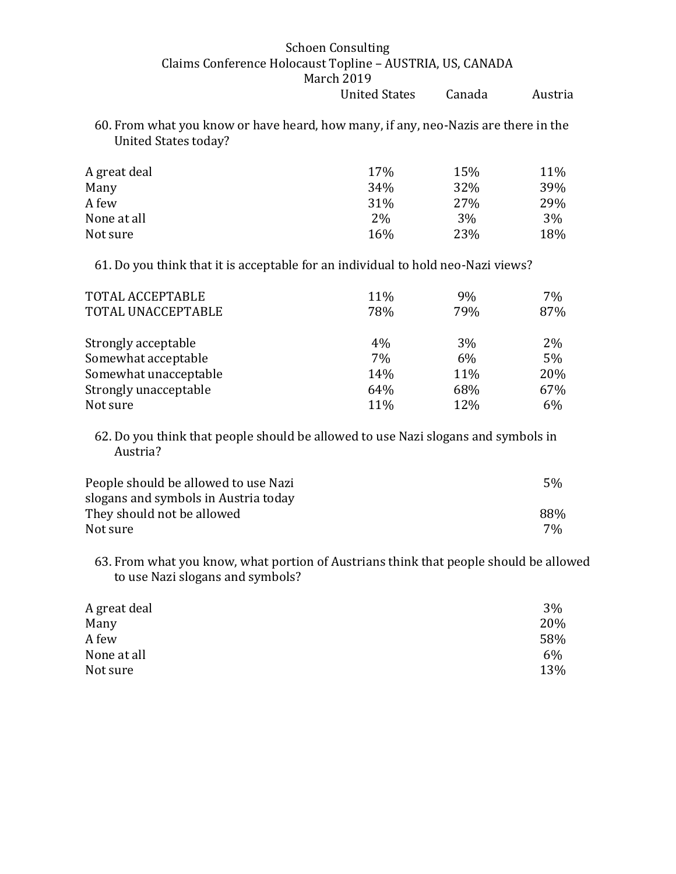60. From what you know or have heard, how many, if any, neo-Nazis are there in the United States today?

| A great deal | 17% | 15% | 11% |
|--------------|-----|-----|-----|
| Many         | 34% | 32% | 39% |
| A few        | 31% | 27% | 29% |
| None at all  | 2%  | 3%  | 3%  |
| Not sure     | 16% | 23% | 18% |

61. Do you think that it is acceptable for an individual to hold neo-Nazi views?

| TOTAL ACCEPTABLE<br>TOTAL UNACCEPTABLE | 11%<br>78% | 9%<br>79% | 7%<br>87% |
|----------------------------------------|------------|-----------|-----------|
| Strongly acceptable                    | $4\%$      | 3%        | $2\%$     |
| Somewhat acceptable                    | 7%         | 6%        | 5%        |
| Somewhat unacceptable                  | 14%        | 11%       | 20%       |
| Strongly unacceptable                  | 64%        | 68%       | 67%       |
| Not sure                               | 11%        | 12%       | 6%        |

62. Do you think that people should be allowed to use Nazi slogans and symbols in Austria?

| People should be allowed to use Nazi | 5%    |
|--------------------------------------|-------|
| slogans and symbols in Austria today |       |
| They should not be allowed           | 88%   |
| Not sure                             | $7\%$ |

63. From what you know, what portion of Austrians think that people should be allowed to use Nazi slogans and symbols?

| A great deal | 3%    |
|--------------|-------|
| Many         | 20%   |
| A few        | 58%   |
| None at all  | $6\%$ |
| Not sure     | 13%   |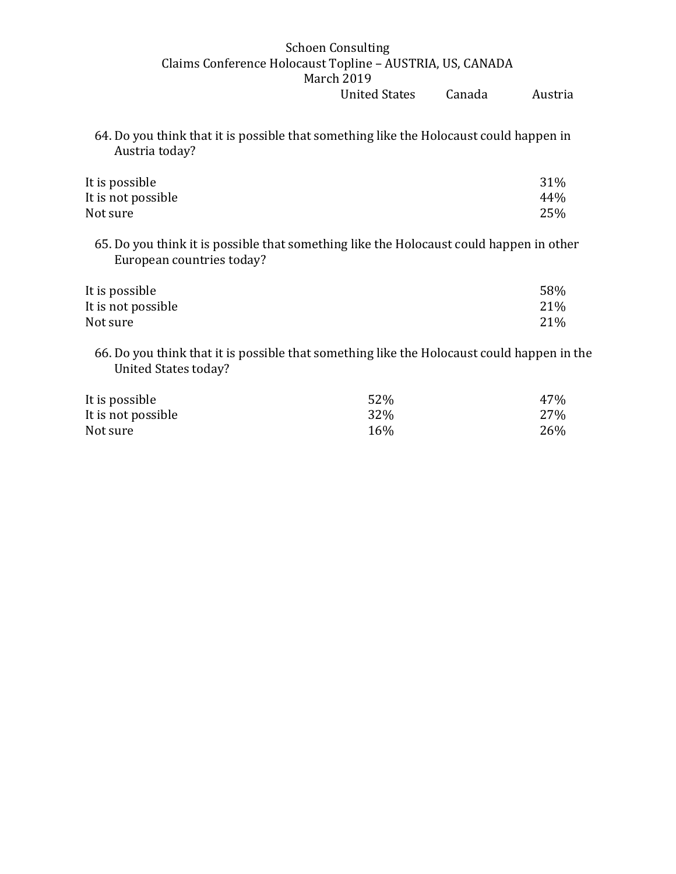64. Do you think that it is possible that something like the Holocaust could happen in Austria today?

| 31% |
|-----|
| 44% |
| 25% |
|     |

65. Do you think it is possible that something like the Holocaust could happen in other European countries today?

| It is possible     | 58% |
|--------------------|-----|
| It is not possible | 21% |
| Not sure           | 21% |

66. Do you think that it is possible that something like the Holocaust could happen in the United States today?

| It is possible     | 52% | 47% |
|--------------------|-----|-----|
| It is not possible | 32% | 27% |
| Not sure           | 16% | 26% |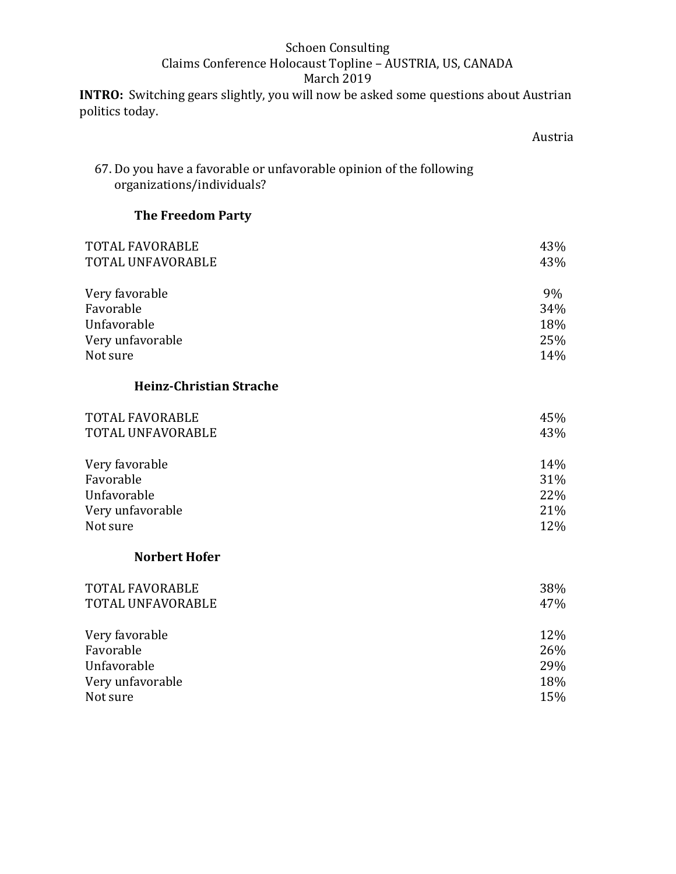**INTRO:** Switching gears slightly, you will now be asked some questions about Austrian politics today.

#### Austria

# 67. Do you have a favorable or unfavorable opinion of the following organizations/individuals?

# **The Freedom Party**

| <b>TOTAL FAVORABLE</b><br>TOTAL UNFAVORABLE | 43%<br>43% |
|---------------------------------------------|------------|
| Very favorable                              | 9%         |
| Favorable                                   | 34%        |
| Unfavorable                                 | 18%        |
| Very unfavorable                            | 25%        |
| Not sure                                    | 14%        |

## **Heinz-Christian Strache**

| <b>TOTAL FAVORABLE</b><br>TOTAL UNFAVORABLE | 45%<br>43% |
|---------------------------------------------|------------|
| Very favorable                              | 14%        |
| Favorable                                   | 31%        |
| Unfavorable                                 | 22%        |
| Very unfavorable                            | 21%        |
| Not sure                                    | 12%        |

#### **Norbert Hofer**

| <b>TOTAL FAVORABLE</b><br>TOTAL UNFAVORABLE | 38%<br>47% |
|---------------------------------------------|------------|
| Very favorable                              | 12%        |
| Favorable                                   | 26%        |
| Unfavorable                                 | 29%        |
| Very unfavorable                            | 18%        |
| Not sure                                    | 15%        |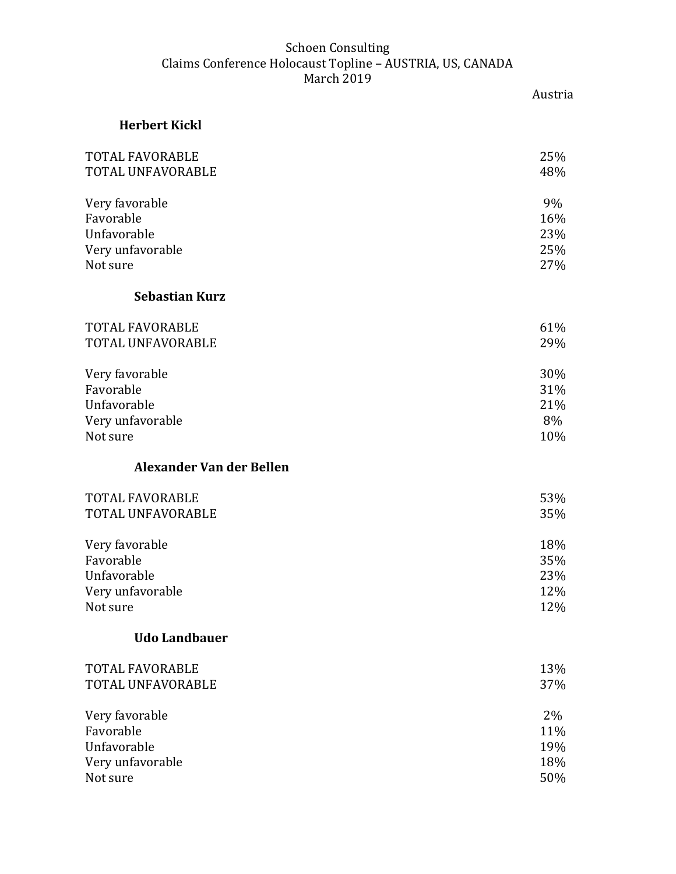Austria

| <b>Herbert Kickl</b>     |     |
|--------------------------|-----|
| TOTAL FAVORABLE          | 25% |
| TOTAL UNFAVORABLE        | 48% |
| Very favorable           | 9%  |
| Favorable                | 16% |
| Unfavorable              | 23% |
| Very unfavorable         | 25% |
| Not sure                 | 27% |
| <b>Sebastian Kurz</b>    |     |
| TOTAL FAVORABLE          | 61% |
| TOTAL UNFAVORABLE        | 29% |
| Very favorable           | 30% |
| Favorable                | 31% |
| Unfavorable              | 21% |
| Very unfavorable         | 8%  |
| Not sure                 | 10% |
| Alexander Van der Bellen |     |
| TOTAL FAVORABLE          | 53% |
| TOTAL UNFAVORABLE        | 35% |
| Very favorable           | 18% |
| Favorable                | 35% |
| Unfavorable              | 23% |
| Very unfavorable         | 12% |
| Not sure                 | 12% |
| <b>Udo Landbauer</b>     |     |
| <b>TOTAL FAVORABLE</b>   | 13% |
| TOTAL UNFAVORABLE        | 37% |
| Very favorable           | 2%  |
| Favorable                | 11% |
| Unfavorable              | 19% |
| Very unfavorable         | 18% |
| Not sure                 | 50% |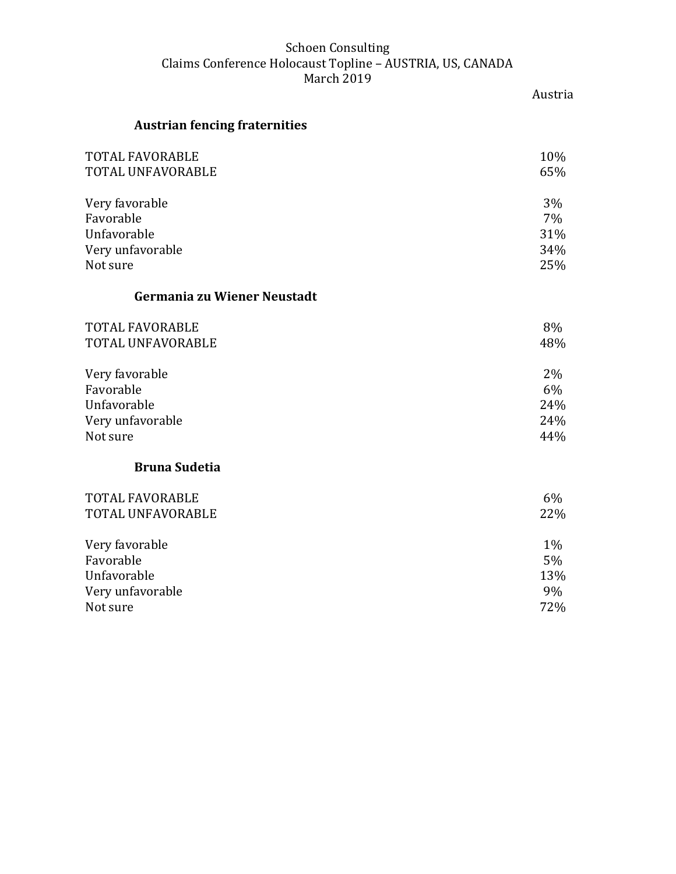|                                      | Austria |
|--------------------------------------|---------|
| <b>Austrian fencing fraternities</b> |         |
| <b>TOTAL FAVORABLE</b>               | 10%     |
| TOTAL UNFAVORABLE                    | 65%     |
| Very favorable                       | 3%      |
| Favorable                            | 7%      |
| Unfavorable                          | 31%     |
| Very unfavorable                     | 34%     |
| Not sure                             | 25%     |
| Germania zu Wiener Neustadt          |         |
| <b>TOTAL FAVORABLE</b>               | 8%      |
| <b>TOTAL UNFAVORABLE</b>             | 48%     |
| Very favorable                       | 2%      |
| Favorable                            | 6%      |
| Unfavorable                          | 24%     |
| Very unfavorable                     | 24%     |
| Not sure                             | 44%     |
| <b>Bruna Sudetia</b>                 |         |
| TOTAL FAVORABLE                      | 6%      |
| TOTAL UNFAVORABLE                    | 22%     |
| Very favorable                       | $1\%$   |
| Favorable                            | 5%      |
| Unfavorable                          | 13%     |
| Very unfavorable                     | 9%      |
|                                      |         |

Not sure 72%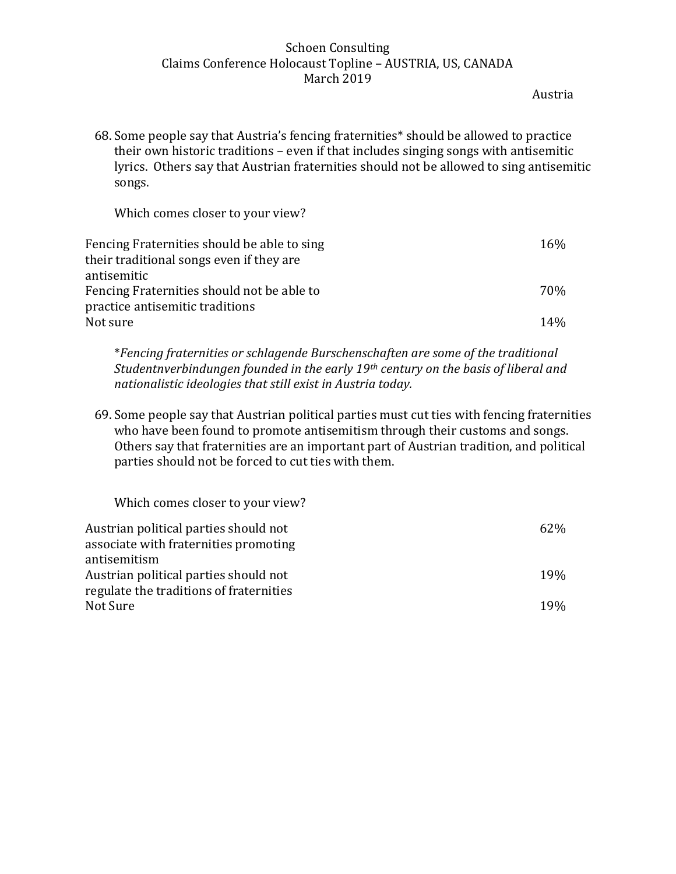Austria

68. Some people say that Austria's fencing fraternities\* should be allowed to practice their own historic traditions – even if that includes singing songs with antisemitic lyrics. Others say that Austrian fraternities should not be allowed to sing antisemitic songs.

Which comes closer to your view?

| Fencing Fraternities should be able to sing | 16% |
|---------------------------------------------|-----|
| their traditional songs even if they are    |     |
| antisemitic                                 |     |
| Fencing Fraternities should not be able to  | 70% |
| practice antisemitic traditions             |     |
| Not sure                                    | 14% |
|                                             |     |

\**Fencing fraternities or schlagende Burschenschaften are some of the traditional Studentnverbindungen founded in the early 19th century on the basis of liberal and nationalistic ideologies that still exist in Austria today.* 

69. Some people say that Austrian political parties must cut ties with fencing fraternities who have been found to promote antisemitism through their customs and songs. Others say that fraternities are an important part of Austrian tradition, and political parties should not be forced to cut ties with them.

| Which comes closer to your view?                                                               |                 |
|------------------------------------------------------------------------------------------------|-----------------|
| Austrian political parties should not<br>associate with fraternities promoting<br>antisemitism | 62%             |
| Austrian political parties should not<br>regulate the traditions of fraternities               | 19%             |
| Not Sure                                                                                       | 19 <sub>%</sub> |